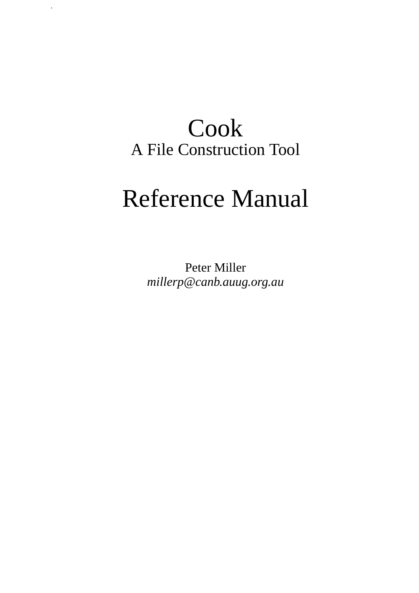# Cook A File Construction Tool

.

# Reference Manual

Peter Miller *millerp@canb.auug.org.au*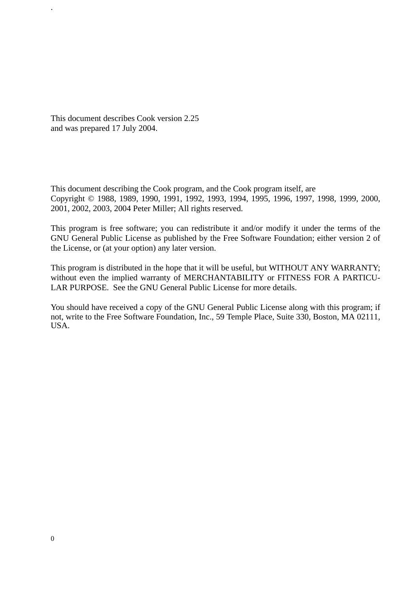This document describes Cook version 2.25 and was prepared 17 July 2004.

.

This document describing the Cook program, and the Cook program itself, are Copyright © 1988, 1989, 1990, 1991, 1992, 1993, 1994, 1995, 1996, 1997, 1998, 1999, 2000, 2001, 2002, 2003, 2004 Peter Miller; All rights reserved.

This program is free software; you can redistribute it and/or modify it under the terms of the GNU General Public License as published by the Free Software Foundation; either version 2 of the License, or (at your option) any later version.

This program is distributed in the hope that it will be useful, but WITHOUT ANY WARRANTY; without even the implied warranty of MERCHANTABILITY or FITNESS FOR A PARTICU-LAR PURPOSE. See the GNU General Public License for more details.

You should have received a copy of the GNU General Public License along with this program; if not, write to the Free Software Foundation, Inc., 59 Temple Place, Suite 330, Boston, MA 02111, USA.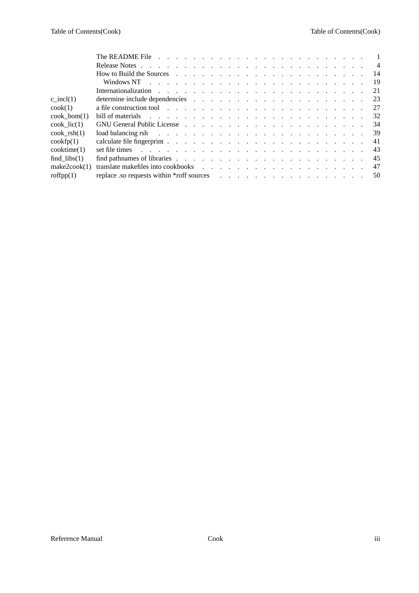|                          |                                                                                                                                                                                                                                | $\overline{4}$ |
|--------------------------|--------------------------------------------------------------------------------------------------------------------------------------------------------------------------------------------------------------------------------|----------------|
|                          | How to Build the Sources response to the contract of the sources response to the contract of the sources of the sources of the sources of the sources of the sources of the sources of the sources of the sources of the sourc | -14            |
|                          |                                                                                                                                                                                                                                | 19             |
|                          |                                                                                                                                                                                                                                | 21             |
| c incl(1)                |                                                                                                                                                                                                                                | 23             |
| $\cosh(1)$               |                                                                                                                                                                                                                                | 27             |
| $\cosh \; \text{bom}(1)$ | bill of materials resources in the contract of the contract of the contract of the contract of the contract of the contract of the contract of the contract of the contract of the contract of the contract of the contract of | 32             |
| $\cosh$ lic(1)           | GNU General Public License response to the contract of the contract of the contract of the contract of the contract of the contract of the contract of the contract of the contract of the contract of the contract of the con | 34             |
| $\cosh$ rsh $(1)$        | load balancing rsh referred to the contract of the contract of the contract of the contract of the contract of the contract of the contract of the contract of the contract of the contract of the contract of the contract of | 39             |
| $\cosh(p(1))$            |                                                                                                                                                                                                                                | 41             |
| $\text{cooktime}(1)$     |                                                                                                                                                                                                                                | 43             |
| find $\text{libs}(1)$    |                                                                                                                                                                                                                                | 45             |
| make2cock(1)             |                                                                                                                                                                                                                                | 47             |
| roffpp(1)                |                                                                                                                                                                                                                                | 50             |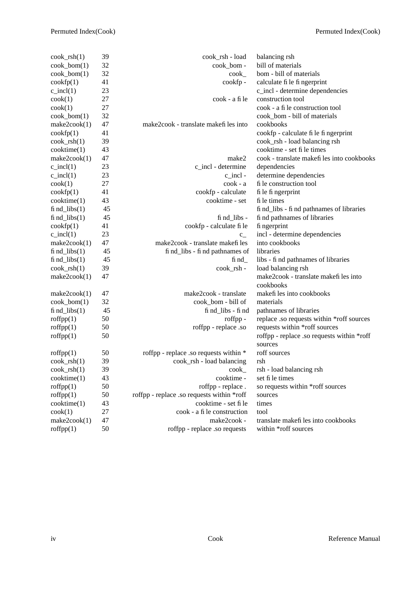| $\cosh_{\text{fsh}}(1)$  | 39     | cook_rsh - load                               | balancing rsh                              |
|--------------------------|--------|-----------------------------------------------|--------------------------------------------|
| $\cosh_b$ bom $(1)$      | 32     | cook_bom -                                    | bill of materials                          |
| cook_bom(1)              | 32     | $\mathrm{cook}_{-}$                           | bom - bill of materials                    |
| $\cosh(p(1))$            | 41     | cookfp-                                       | calculate fi le fi ngerprint               |
| $c\_incl(1)$             | 23     |                                               | c_incl - determine dependencies            |
| $\cosh(1)$               | 27     | cook - a fi le                                | construction tool                          |
| $\cosh(1)$               | 27     |                                               | cook - a fi le construction tool           |
| $\cosh_b$ bom $(1)$      | 32     |                                               | cook_bom - bill of materials               |
| make2cook(1)             | 47     | make2cook - translate makefiles into          | cookbooks                                  |
| $\cosh(p(1))$            | 41     |                                               | cookfp - calculate fi le fi ngerprint      |
| $\cosh_{\text{ls}}(1)$   | 39     |                                               | cook_rsh - load balancing rsh              |
| cooktime(1)              | 43     |                                               | cooktime - set fi le times                 |
| make2cook(1)             | 47     | make2                                         | cook - translate makefiles into cookbooks  |
| $c\_incl(1)$             | 23     | c_incl - determine                            | dependencies                               |
| $c\_incl(1)$             | 23     | $c$ _incl -                                   | determine dependencies                     |
| $\cosh(1)$               | 27     | cook - a                                      | fi le construction tool                    |
| $\cosh(p(1))$            | 41     | cookfp - calculate                            | fi le fi ngerprint                         |
| $\text{cooktime}(1)$     | 43     | cooktime - set                                | fi le times                                |
| $find\_libs(1)$          | 45     |                                               | fi nd_libs - fi nd pathnames of libraries  |
| fi $nd_{\text{libs}}(1)$ | 45     | $\operatorname{fi} \operatorname{nd\_libs}$ - | fi nd pathnames of libraries               |
| $\cosh(p(1))$            | 41     | cookfp - calculate fi le                      | fi ngerprint                               |
| $c\_incl(1)$             | 23     | $c_{-}$                                       | incl - determine dependencies              |
| make2cock(1)             | 47     | make2cook - translate makefi les              | into cookbooks                             |
| $find\_libs(1)$          | 45     | fi nd_libs - fi nd pathnames of               | libraries                                  |
| fi $nd_{\text{libs}}(1)$ | 45     | $\operatorname{fi} \operatorname{nd}_-$       | libs - fi nd pathnames of libraries        |
| $\cosh_{\text{rsh}}(1)$  | 39     | cook_rsh -                                    | load balancing rsh                         |
| make2cook(1)             | 47     |                                               | make2cook - translate makefiles into       |
|                          |        |                                               | cookbooks                                  |
| make2cock(1)             | 47     | make2cook - translate                         | makefi les into cookbooks                  |
| $\cosh_b$ bom $(1)$      | 32     | cook_bom - bill of                            | materials                                  |
| $fi$ nd_libs $(1)$       | 45     | fi nd_libs - fi nd                            | pathnames of libraries                     |
| roffpp(1)                | 50     | roffpp -                                      | replace .so requests within *roff sources  |
| roffpp(1)                | 50     | roffpp - replace .so                          | requests within *roff sources              |
| roffpp(1)                | 50     |                                               | roffpp - replace .so requests within *roff |
|                          |        |                                               | sources                                    |
| $\text{roffpp}(1)$       | 50     | roffpp - replace .so requests within *        | roff sources                               |
| $\cosh_{\text{ls}}(1)$   | 39     | cook_rsh - load balancing                     | rsh                                        |
| $\cosh_{\text{ls}}(1)$   | 39     | $\text{cook}_{-}$                             | rsh - load balancing rsh                   |
| $\text{cooktime}(1)$     | 43     | cooktime -                                    | set fi le times                            |
| roffpp(1)                | 50     | roffpp - replace.                             | so requests within *roff sources           |
| roffpp(1)                | 50     | roffpp - replace .so requests within *roff    | sources                                    |
| $\text{cooktime}(1)$     | 43     | cooktime - set fi le                          | times                                      |
| $\cosh(1)$               | $27\,$ | cook - a fi le construction                   | tool                                       |
| make2cock(1)             | 47     | make2cook -                                   | translate makefiles into cookbooks         |
| roffpp(1)                | 50     | roffpp - replace .so requests                 | within *roff sources                       |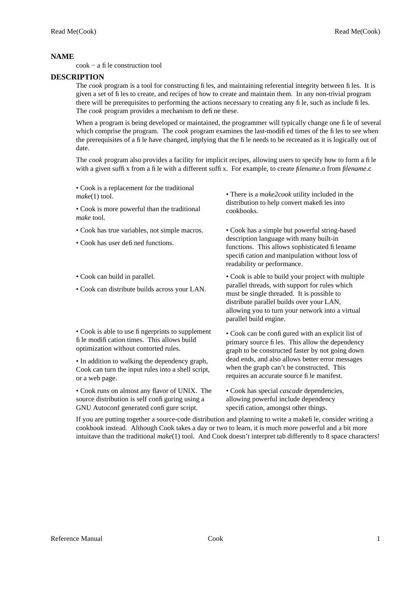cook − a file construction tool

# **DESCRIPTION**

The *cook* program is a tool for constructing files, and maintaining referential integrity between files. It is given a set of files to create, and recipes of how to create and maintain them. In any non-trivial program there will be prerequisites to performing the actions necessary to creating any file, such as include files. The *cook* program provides a mechanism to define these.

When a program is being developed or maintained, the programmer will typically change one file of several which comprise the program. The *cook* program examines the last-modified times of the files to see when the prerequisites of a file have changed, implying that the file needs to be recreated as it is logically out of date.

The *cook* program also provides a facility for implicit recipes, allowing users to specify how to form a file with a given suffix from a file with a different suffix. For example, to create *filename*.o from *filename*.c

• Cook is a replacement for the traditional *make*(1) tool.

• Cook is more powerful than the traditional *make* tool.

- Cook has true variables, not simple macros.
- Cook has user defined functions.
- Cook can build in parallel.
- Cook can distribute builds across your LAN.

• Cook is able to use fingerprints to supplement file modification times. This allows build optimization without contorted rules.

• In addition to walking the dependency graph, Cook can turn the input rules into a shell script, or a web page.

• Cook runs on almost any flavor of UNIX. The source distribution is self configuring using a GNU Autoconf generated configure script.

• There is a *make2cook* utility included in the distribution to help convert makefiles into cookbooks.

• Cook has a simple but powerful string-based description language with many built-in functions. This allows sophisticated filename specification and manipulation without loss of readability or performance.

• Cook is able to build your project with multiple parallel threads, with support for rules which must be single threaded. It is possible to distribute parallel builds over your LAN, allowing you to turn your network into a virtual parallel build engine.

• Cook can be configured with an explicit list of primary source files. This allow the dependency graph to be constructed faster by not going down dead ends, and also allows better error messages when the graph can't be constructed. This requires an accurate source file manifest.

• Cook has special *cascade* dependencies, allowing powerful include dependency specification, amongst other things.

If you are putting together a source-code distribution and planning to write a makefile, consider writing a cookbook instead. Although Cook takes a day or two to learn, it is much more powerful and a bit more intuitave than the traditional *make*(1) tool. And Cook doesn't interpret tab differently to 8 space characters!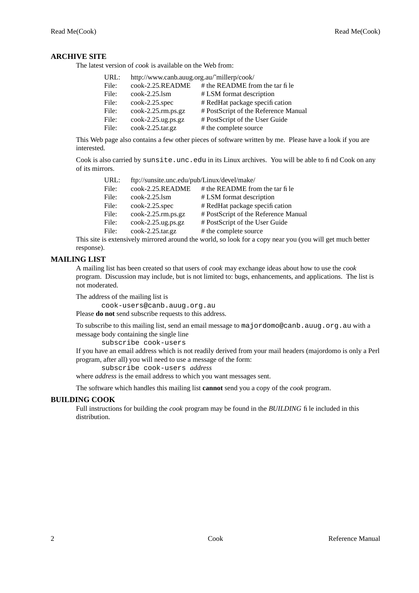# **ARCHIVE SITE**

The latest version of *cook* is available on the Web from:

| URL:  | http://www.canb.auug.org.au/~millerp/cook/ |                                      |
|-------|--------------------------------------------|--------------------------------------|
| File: | cook-2.25.README                           | # the README from the tar fi le      |
| File: | $\cosh 2.25$ .lsm                          | # LSM format description             |
| File: | $\cosh 2.25.\text{spec}$                   | # RedHat package specification       |
| File: | $\text{cook-2.25.rm.ps.gz}$                | # PostScript of the Reference Manual |
| File: | $\cosh-2.25.\text{ug.ps.gz}$               | # PostScript of the User Guide       |
| File: | $\cosh 2.25 \cdot \arctan$                 | # the complete source                |
|       |                                            |                                      |

This Web page also contains a few other pieces of software written by me. Please have a look if you are interested.

Cook is also carried by sunsite.unc.edu in its Linux archives. You will be able to find Cook on any of its mirrors.

| URL:  | ftp://sunsite.unc.edu/pub/Linux/devel/make/ |                                      |
|-------|---------------------------------------------|--------------------------------------|
| File: | cook-2.25.README                            | # the README from the tar fi le      |
| File: | $\cosh 2.25$ .lsm                           | # LSM format description             |
| File: | $\cosh 2.25.\text{spec}$                    | # RedHat package specification       |
| File: | $\cosh-2.25 \cdot \text{rm}$ .ps.gz         | # PostScript of the Reference Manual |
| File: | $\cosh 2.25 \text{.}$ ug.ps.gz              | # PostScript of the User Guide       |
| File: | $\cosh-2.25 \cdot \arctan$                  | # the complete source                |
|       |                                             |                                      |

This site is extensively mirrored around the world, so look for a copy near you (you will get much better response).

# **MAILING LIST**

A mailing list has been created so that users of *cook* may exchange ideas about how to use the *cook* program. Discussion may include, but is not limited to: bugs, enhancements, and applications. The list is not moderated.

The address of the mailing list is

cook-users@canb.auug.org.au Please **do not** send subscribe requests to this address.

To subscribe to this mailing list, send an email message to majordomo@canb.auug.org.au with a message body containing the single line

subscribe cook-users

If you have an email address which is not readily derived from your mail headers (majordomo is only a Perl program, after all) you will need to use a message of the form:

subscribe cook-users *address*

where *address* is the email address to which you want messages sent.

The software which handles this mailing list **cannot** send you a copy of the *cook* program.

# **BUILDING COOK**

Full instructions for building the *cook* program may be found in the *BUILDING* file included in this distribution.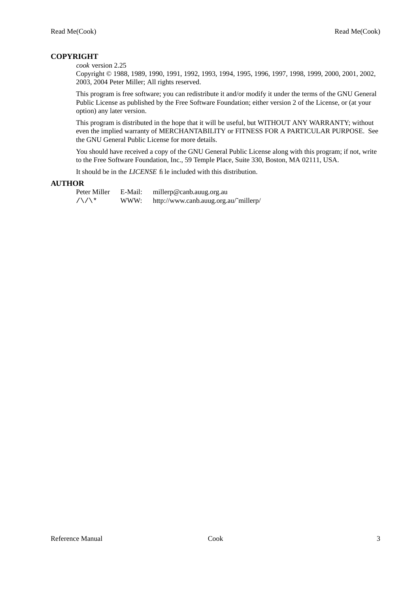# **COPYRIGHT**

## *cook* version 2.25

Copyright © 1988, 1989, 1990, 1991, 1992, 1993, 1994, 1995, 1996, 1997, 1998, 1999, 2000, 2001, 2002, 2003, 2004 Peter Miller; All rights reserved.

This program is free software; you can redistribute it and/or modify it under the terms of the GNU General Public License as published by the Free Software Foundation; either version 2 of the License, or (at your option) any later version.

This program is distributed in the hope that it will be useful, but WITHOUT ANY WARRANTY; without even the implied warranty of MERCHANTABILITY or FITNESS FOR A PARTICULAR PURPOSE. See the GNU General Public License for more details.

You should have received a copy of the GNU General Public License along with this program; if not, write to the Free Software Foundation, Inc., 59 Temple Place, Suite 330, Boston, MA 02111, USA.

It should be in the *LICENSE* file included with this distribution.

# **AUTHOR**

Peter Miller E-Mail: millerp@canb.auug.org.au  $/\sqrt{\phantom{a}}$  WWW: http://www.canb.auug.org.au/~millerp/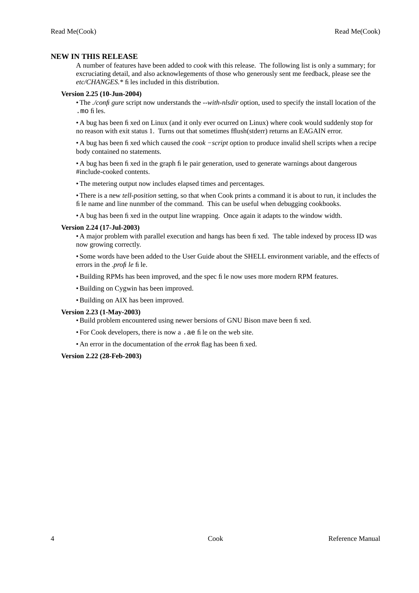# **NEW IN THIS RELEASE**

A number of features have been added to *cook* with this release. The following list is only a summary; for excruciating detail, and also acknowlegements of those who generously sent me feedback, please see the *etc/CHANGES.\** files included in this distribution.

# **Version 2.25 (10-Jun-2004)**

• The *./configure* script now understands the *--with-nlsdir* option, used to specify the install location of the .mo files.

•Abug has been fixed on Linux (and it only ever ocurred on Linux) where cook would suddenly stop for no reason with exit status 1. Turns out that sometimes fflush(stderr) returns an EAGAIN error.

•Abug has been fixed which caused the *cook −script* option to produce invalid shell scripts when a recipe body contained no statements.

•Abug has been fixed in the graph file pair generation, used to generate warnings about dangerous #include-cooked contents.

• The metering output now includes elapsed times and percentages.

• There is a new *tell-position* setting, so that when Cook prints a command it is about to run, it includes the file name and line nunmber of the command. This can be useful when debugging cookbooks.

•Abug has been fixed in the output line wrapping. Once again it adapts to the window width.

# **Version 2.24 (17-Jul-2003)**

•Amajor problem with parallel execution and hangs has been fixed. The table indexed by process ID was now growing correctly.

• Some words have been added to the User Guide about the SHELL environment variable, and the effects of errors in the *.profile* file.

• Building RPMs has been improved, and the spec file now uses more modern RPM features.

- Building on Cygwin has been improved.
- Building on AIX has been improved.

# **Version 2.23 (1-May-2003)**

- Build problem encountered using newer bersions of GNU Bison mave been fixed.
- For Cook developers, there is now a .ae file on the web site.
- An error in the documentation of the *errok* flag has been fixed.

**Version 2.22 (28-Feb-2003)**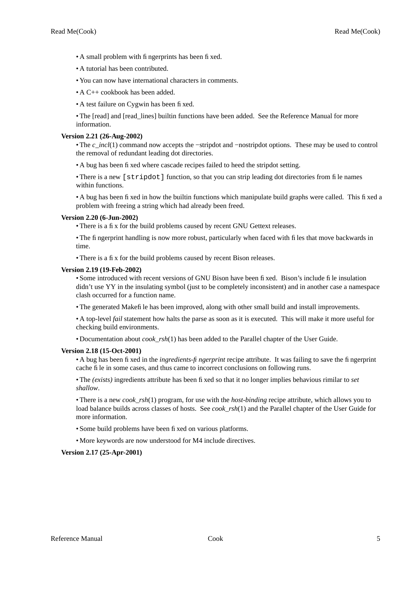- A small problem with fingerprints has been fixed.
- A tutorial has been contributed.
- You can now have international characters in comments.
- A C<sub>++</sub> cookbook has been added.
- A test failure on Cygwin has been fixed.

• The [read] and [read\_lines] builtin functions have been added. See the Reference Manual for more information.

# **Version 2.21 (26-Aug-2002)**

• The *c\_incl*(1) command now accepts the −stripdot and −nostripdot options. These may be used to control the removal of redundant leading dot directories.

•Abug has been fixed where cascade recipes failed to heed the stripdot setting.

• There is a new [stripdot] function, so that you can strip leading dot directories from file names within functions.

•Abug has been fixed in how the builtin functions which manipulate build graphs were called. This fixed a problem with freeing a string which had already been freed.

# **Version 2.20 (6-Jun-2002)**

• There is a fix for the build problems caused by recent GNU Gettext releases.

• The fingerprint handling is now more robust, particularly when faced with files that move backwards in time.

• There is a fix for the build problems caused by recent Bison releases.

# **Version 2.19 (19-Feb-2002)**

• Some introduced with recent versions of GNU Bison have been fixed. Bison's include file insulation didn't use YY in the insulating symbol (just to be completely inconsistent) and in another case a namespace clash occurred for a function name.

• The generated Makefile has been improved, along with other small build and install improvements.

•Atop-level *fail* statement how halts the parse as soon as it is executed. This will make it more useful for checking build environments.

• Documentation about *cook\_rsh*(1) has been added to the Parallel chapter of the User Guide.

# **Version 2.18 (15-Oct-2001)**

•Abug has been fixed in the *ingredients-fingerprint* recipe attribute. It was failing to save the fingerprint cache file in some cases, and thus came to incorrect conclusions on following runs.

• The *(exists)* ingredients attribute has been fixed so that it no longer implies behavious rimilar to *set shallow*.

• There is a new *cook\_rsh*(1) program, for use with the *host-binding* recipe attribute, which allows you to load balance builds across classes of hosts. See *cook\_rsh*(1) and the Parallel chapter of the User Guide for more information.

- Some build problems have been fixed on various platforms.
- More keywords are now understood for M4 include directives.

# **Version 2.17 (25-Apr-2001)**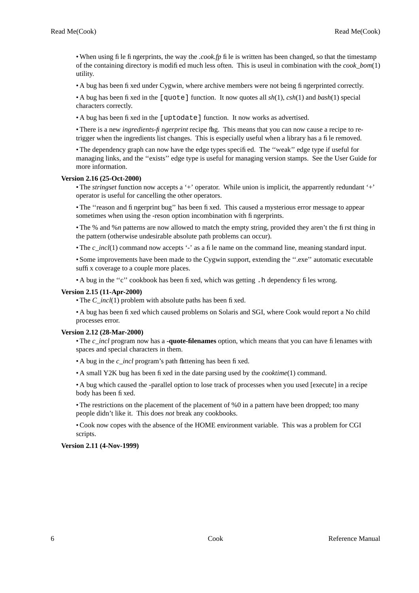• When using file fingerprints, the way the *.cook.fp* file is written has been changed, so that the timestamp of the containing directory is modified much less often. This is useul in combination with the *cook\_bom*(1) utility.

•Abug has been fixed under Cygwin, where archive members were not being fingerprinted correctly.

•Abug has been fixed in the [quote] function. It now quotes all *sh*(1), *csh*(1) and *bash*(1) special characters correctly.

•Abug has been fixed in the [uptodate] function. It now works as advertised.

• There is a new *ingredients-fingerprint* recipe flag. This means that you can now cause a recipe to retrigger when the ingredients list changes. This is especially useful when a library has a file removed.

• The dependency graph can now have the edge types specified. The "weak" edge type if useful for managing links, and the "exists" edge type is useful for managing version stamps. See the User Guide for more information.

# **Version 2.16 (25-Oct-2000)**

• The *stringset* function now accepts a '+' operator. While union is implicit, the apparrently redundant '+' operator is useful for cancelling the other operators.

• The ''reason and fingerprint bug'' has been fixed. This caused a mysterious error message to appear sometimes when using the -reson option incombination with fingerprints.

• The % and %*n* patterns are now allowed to match the empty string, provided they aren't the first thing in the pattern (otherwise undesirable absolute path problems can occur).

• The *c\_incl*(1) command now accepts '-' as a file name on the command line, meaning standard input.

• Some improvements have been made to the Cygwin support, extending the ''.exe'' automatic executable suffix coverage to a couple more places.

•A bug in the "c" cookbook has been fixed, which was getting . h dependency files wrong.

# **Version 2.15 (11-Apr-2000)**

• The *C* incl(1) problem with absolute paths has been fixed.

•Abug has been fixed which caused problems on Solaris and SGI, where Cook would report a No child processes error.

# **Version 2.12 (28-Mar-2000)**

• The *c\_incl* program now has a **-quote-filenames** option, which means that you can have filenames with spaces and special characters in them.

•A bug in the *c* incl program's path flattening has been fixed.

•Asmall Y2K bug has been fixed in the date parsing used by the *cooktime*(1) command.

•Abug which caused the -parallel option to lose track of processes when you used [execute] in a recipe body has been fixed.

• The restrictions on the placement of the placement of %0 in a pattern have been dropped; too many people didn't like it. This does *not* break any cookbooks.

• Cook now copes with the absence of the HOME environment variable. This was a problem for CGI scripts.

# **Version 2.11 (4-Nov-1999)**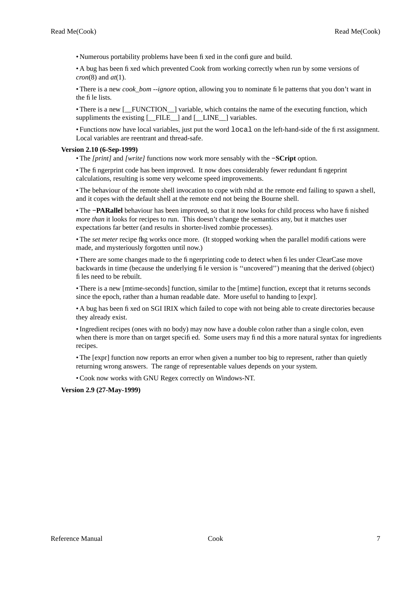• Numerous portability problems have been fixed in the configure and build.

•Abug has been fixed which prevented Cook from working correctly when run by some versions of *cron*(8) and *at*(1).

• There is a new *cook\_bom --ignore* option, allowing you to nominate file patterns that you don't want in the file lists.

• There is a new [\_FUNCTION \_] variable, which contains the name of the executing function, which suppliments the existing  $[$  FILE  $]$  and  $[$  LINE  $]$  variables.

• Functions now have local variables, just put the word local on the left-hand-side of the first assignment. Local variables are reentrant and thread-safe.

## **Version 2.10 (6-Sep-1999)**

• The *[print]* and *[write]* functions now work more sensably with the **−SCript** option.

• The fingerprint code has been improved. It now does considerably fewer redundant fingeprint calculations, resulting is some very welcome speed improvements.

• The behaviour of the remote shell invocation to cope with rshd at the remote end failing to spawn a shell, and it copes with the default shell at the remote end not being the Bourne shell.

• The **−PARallel** behaviour has been improved, so that it now looks for child process who have finished *more than* it looks for recipes to run. This doesn't change the semantics any, but it matches user expectations far better (and results in shorter-lived zombie processes).

• The *set meter* recipe flag works once more. (It stopped working when the parallel modifications were made, and mysteriously forgotten until now.)

• There are some changes made to the fingerprinting code to detect when files under ClearCase move backwards in time (because the underlying file version is ''uncovered'') meaning that the derived (object) files need to be rebuilt.

• There is a new [mtime-seconds] function, similar to the [mtime] function, except that it returns seconds since the epoch, rather than a human readable date. More useful to handing to [expr].

•Abug has been fixed on SGI IRIX which failed to cope with not being able to create directories because they already exist.

• Ingredient recipes (ones with no body) may now have a double colon rather than a single colon, even when there is more than on target specified. Some users may find this a more natural syntax for ingredients recipes.

• The [expr] function now reports an error when given a number too big to represent, rather than quietly returning wrong answers. The range of representable values depends on your system.

• Cook now works with GNU Regex correctly on Windows-NT.

**Version 2.9 (27-May-1999)**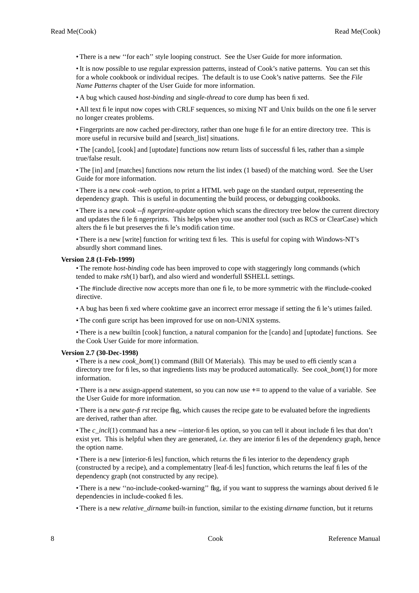• There is a new "for each" style looping construct. See the User Guide for more information.

• It is now possible to use regular expression patterns, instead of Cook's native patterns. You can set this for a whole cookbook or individual recipes. The default is to use Cook's native patterns. See the *File Name Patterns* chapter of the User Guide for more information.

•Abug which caused *host-binding* and *single-thread* to core dump has been fixed.

• All text file input now copes with CRLF sequences, so mixing NT and Unix builds on the one file server no longer creates problems.

• Fingerprints are now cached per-directory, rather than one huge file for an entire directory tree. This is more useful in recursive build and [search\_list] situations.

• The [cando], [cook] and [uptodate] functions now return lists of successful files, rather than a simple true/false result.

• The [in] and [matches] functions now return the list index (1 based) of the matching word. See the User Guide for more information.

• There is a new *cook -web* option, to print a HTML web page on the standard output, representing the dependency graph. This is useful in documenting the build process, or debugging cookbooks.

• There is a new *cook --fingerprint-update* option which scans the directory tree below the current directory and updates the file fingerprints. This helps when you use another tool (such as RCS or ClearCase) which alters the file but preserves the file's modification time.

• There is a new [write] function for writing text files. This is useful for coping with Windows-NT's absurdly short command lines.

#### **Version 2.8 (1-Feb-1999)**

• The remote *host-binding* code has been improved to cope with staggeringly long commands (which tended to make *rsh*(1) barf), and also wierd and wonderfull \$SHELL settings.

• The #include directive now accepts more than one file, to be more symmetric with the #include-cooked directive.

- A bug has been fixed where cooktime gave an incorrect error message if setting the file's utimes failed.
- The configure script has been improved for use on non-UNIX systems.

• There is a new builtin [cook] function, a natural companion for the [cando] and [uptodate] functions. See the Cook User Guide for more information.

## **Version 2.7 (30-Dec-1998)**

• There is a new *cook bom*(1) command (Bill Of Materials). This may be used to efficiently scan a directory tree for files, so that ingredients lists may be produced automatically. See *cook\_bom*(1) for more information.

• There is a new assign-append statement, so you can now use += to append to the value of a variable. See the User Guide for more information.

• There is a new *gate-first* recipe flag, which causes the recipe gate to be evaluated before the ingredients are derived, rather than after.

• The *c* incl(1) command has a new --interior-files option, so you can tell it about include files that don't exist yet. This is helpful when they are generated, *i.e.* they are interior files of the dependency graph, hence the option name.

• There is a new [interior-files] function, which returns the files interior to the dependency graph (constructed by a recipe), and a complementatry [leaf-files] function, which returns the leaf files of the dependency graph (not constructed by any recipe).

• There is a new "no-include-cooked-warning" flag, if you want to suppress the warnings about derived file dependencies in include-cooked files.

• There is a new *relative\_dirname* built-in function, similar to the existing *dirname* function, but it returns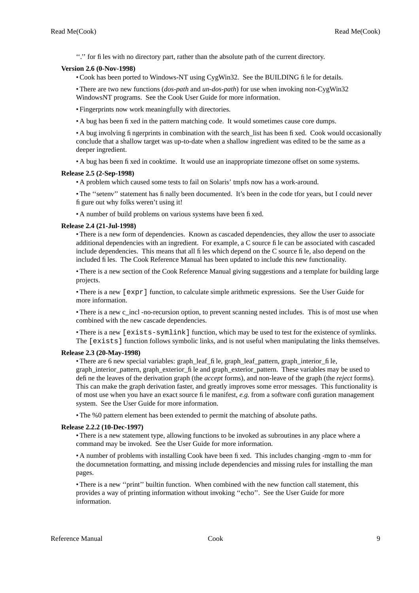''.'' for files with no directory part, rather than the absolute path of the current directory.

# **Version 2.6 (0-Nov-1998)**

• Cook has been ported to Windows-NT using CygWin32. See the BUILDING file for details.

• There are two new functions (*dos-path* and *un-dos-path*) for use when invoking non-CygWin32 WindowsNT programs. See the Cook User Guide for more information.

• Fingerprints now work meaningfully with directories.

•Abug has been fixed in the pattern matching code. It would sometimes cause core dumps.

•Abug involving fingerprints in combination with the search\_list has been fixed. Cook would occasionally conclude that a shallow target was up-to-date when a shallow ingredient was edited to be the same as a deeper ingredient.

•Abug has been fixed in cooktime. It would use an inappropriate timezone offset on some systems.

# **Release 2.5 (2-Sep-1998)**

•Aproblem which caused some tests to fail on Solaris' tmpfs now has a work-around.

• The "setenv" statement has finally been documented. It's been in the code tfor years, but I could never figure out why folks weren't using it!

• A number of build problems on various systems have been fixed.

# **Release 2.4 (21-Jul-1998)**

• There is a new form of dependencies. Known as cascaded dependencies, they allow the user to associate additional dependencies with an ingredient. For example, a C source file can be associated with cascaded include dependencies. This means that all files which depend on the C source file, also depend on the included files. The Cook Reference Manual has been updated to include this new functionality.

• There is a new section of the Cook Reference Manual giving suggestions and a template for building large projects.

• There is a new [expr] function, to calculate simple arithmetic expressions. See the User Guide for more information.

• There is a new c\_incl -no-recursion option, to prevent scanning nested includes. This is of most use when combined with the new cascade dependencies.

• There is a new [exists-symlink] function, which may be used to test for the existence of symlinks. The [exists] function follows symbolic links, and is not useful when manipulating the links themselves.

# **Release 2.3 (20-May-1998)**

• There are 6 new special variables: graph\_leaf\_file, graph\_leaf\_pattern, graph\_interior\_file, graph interior pattern, graph exterior file and graph exterior pattern. These variables may be used to define the leaves of the derivation graph (the *accept* forms), and non-leave of the graph (the *reject* forms). This can make the graph derivation faster, and greatly improves some error messages. This functionality is of most use when you have an exact source file manifest, *e.g.* from a software configuration management system. See the User Guide for more information.

• The %0 pattern element has been extended to permit the matching of absolute paths.

# **Release 2.2.2 (10-Dec-1997)**

• There is a new statement type, allowing functions to be invoked as subroutines in any place where a command may be invoked. See the User Guide for more information.

•Anumber of problems with installing Cook have been fixed. This includes changing -mgm to -mm for the documnetation formatting, and missing include dependencies and missing rules for installing the man pages.

• There is a new ''print'' builtin function. When combined with the new function call statement, this provides a way of printing information without invoking ''echo''. See the User Guide for more information.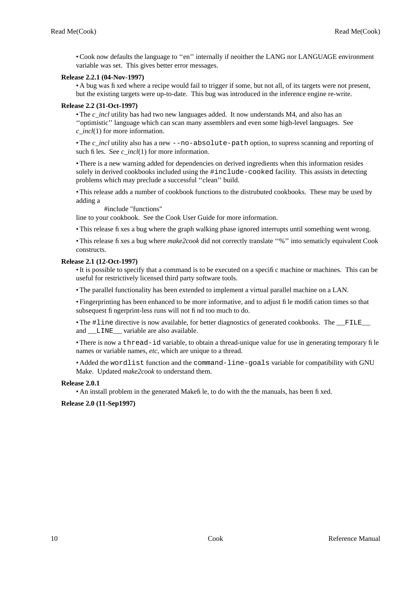• Cook now defaults the language to ''en'' internally if neoither the LANG nor LANGUAGE environment variable was set. This gives better error messages.

# **Release 2.2.1 (04-Nov-1997)**

•Abug was fixed where a recipe would fail to trigger if some, but not all, of its targets were not present, but the existing targets were up-to-date. This bug was introduced in the inference engine re-write.

# **Release 2.2 (31-Oct-1997)**

• The *c* incl utility has had two new languages added. It now understands M4, and also has an ''optimistic'' language which can scan many assemblers and even some high-level languages. See *c\_incl*(1) for more information.

• The *c* incl utility also has a new --no-absolute-path option, to supress scanning and reporting of such files. See *c* incl(1) for more information.

• There is a new warning added for dependencies on derived ingredients when this information resides solely in derived cookbooks included using the #include-cooked facility. This assists in detecting problems which may preclude a successful ''clean'' build.

• This release adds a number of cookbook functions to the distrubuted cookbooks. These may be used by adding a

#include "functions"

line to your cookbook. See the Cook User Guide for more information.

• This release fixes a bug where the graph walking phase ignored interrupts until something went wrong.

• This release fixes a bug where *make2cook* did not correctly translate ''%'' into sematicly equivalent Cook constructs.

# **Release 2.1 (12-Oct-1997)**

• It is possible to specify that a command is to be executed on a specific machine or machines. This can be useful for restrictively licensed third party software tools.

• The parallel functionality has been extended to implement a virtual parallel machine on a LAN.

• Fingerprinting has been enhanced to be more informative, and to adjust file modification times so that subsequest fingerprint-less runs will not find too much to do.

• The #line directive is now available, for better diagnostics of generated cookbooks. The FILE and \_\_LINE\_\_ variable are also available.

• There is now a thread-id variable, to obtain a thread-unique value for use in generating temporary file names or variable names, *etc*, which are unique to a thread.

• Added the wordlist function and the command-line-goals variable for compatibility with GNU Make. Updated *make2cook* to understand them.

# **Release 2.0.1**

• An install problem in the generated Makefile, to do with the the manuals, has been fixed.

# **Release 2.0 (11-Sep1997)**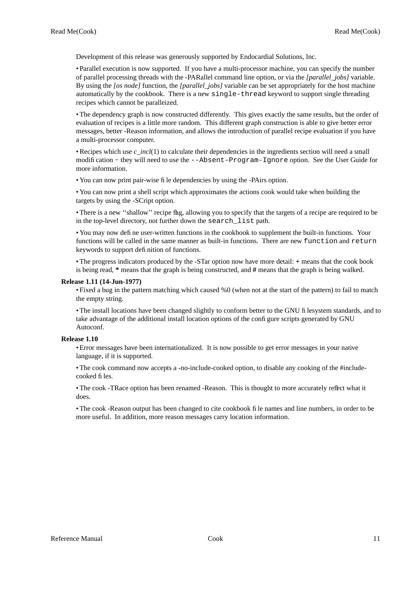Development of this release was generously supported by Endocardial Solutions, Inc.

• Parallel execution is now supported. If you have a multi-processor machine, you can specify the number of parallel processing threads with the -PARallel command line option, or via the *[parallel\_jobs]* variable. By using the *[os node]* function, the *[parallel\_jobs]* variable can be set appropriately for the host machine automatically by the cookbook. There is a new single-thread keyword to support single threading recipes which cannot be paralleized.

• The dependency graph is now constructed differently. This gives exactly the same results, but the order of evaluation of recipes is a little more random. This different graph construction is able to give better error messages, better -Reason information, and allows the introduction of parallel recipe evaluation if you have a multi-processor computer.

• Recipes which use *c\_incl*(1) to calculate their dependencies in the ingredients section will need a small modification − they will need to use the --Absent-Program-Ignore option. See the User Guide for more information.

• You can now print pair-wise file dependencies by using the -PAirs option.

• You can now print a shell script which approximates the actions cook would take when building the targets by using the -SCript option.

• There is a new "shallow" recipe flag, allowing you to specify that the targets of a recipe are required to be in the top-level directory, not further down the search\_list path.

• You may now define user-written functions in the cookbook to supplement the built-in functions. Your functions will be called in the same manner as built-in functions. There are new function and return keywords to support definition of functions.

• The progress indicators produced by the -STar option now have more detail: + means that the cook book is being read, **\*** means that the graph is being constructed, and **#** means that the graph is being walked.

# **Release 1.11 (14-Jun-1977)**

• Fixed a bug in the pattern matching which caused %0 (when not at the start of the pattern) to fail to match the empty string.

• The install locations have been changed slightly to conform better to the GNU filesystem standards, and to take advantage of the additional install location options of the configure scripts generated by GNU Autoconf.

# **Release 1.10**

• Error messages have been internationalized. It is now possible to get error messages in your native language, if it is supported.

• The cook command now accepts a -no-include-cooked option, to disable any cooking of the #includecooked files.

• The cook -TRace option has been renamed -Reason. This is thought to more accurately reflect what it does.

• The cook -Reason output has been changed to cite cookbook file names and line numbers, in order to be more useful. In addition, more reason messages carry location information.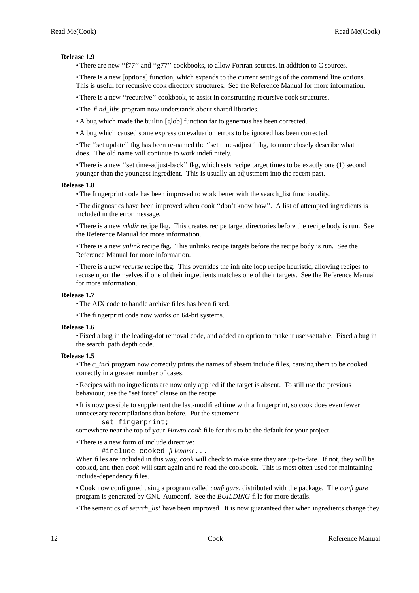# **Release 1.9**

• There are new "f77" and "g77" cookbooks, to allow Fortran sources, in addition to C sources.

• There is a new [options] function, which expands to the current settings of the command line options. This is useful for recursive cook directory structures. See the Reference Manual for more information.

• There is a new ''recursive'' cookbook, to assist in constructing recursive cook structures.

• The *find libs* program now understands about shared libraries.

•Abug which made the builtin [glob] function far to generous has been corrected.

•Abug which caused some expression evaluation errors to be ignored has been corrected.

• The ''set update'' flag has been re-named the ''set time-adjust'' flag, to more closely describe what it does. The old name will continue to work indefinitely.

• There is a new "set time-adjust-back" flag, which sets recipe target times to be exactly one (1) second younger than the youngest ingredient. This is usually an adjustment into the recent past.

# **Release 1.8**

• The fingerprint code has been improved to work better with the search list functionality.

• The diagnostics have been improved when cook ''don't know how''. A list of attempted ingredients is included in the error message.

• There is a new *mkdir* recipe flag. This creates recipe target directories before the recipe body is run. See the Reference Manual for more information.

• There is a new *unlink* recipe flag. This unlinks recipe targets before the recipe body is run. See the Reference Manual for more information.

• There is a new *recurse* recipe flag. This overrides the infinite loop recipe heuristic, allowing recipes to recuse upon themselves if one of their ingredients matches one of their targets. See the Reference Manual for more information.

# **Release 1.7**

• The AIX code to handle archive files has been fixed.

• The fingerprint code now works on 64-bit systems.

## **Release 1.6**

• Fixed a bug in the leading-dot removal code, and added an option to make it user-settable. Fixed a bug in the search\_path depth code.

## **Release 1.5**

• The *c\_incl* program now correctly prints the names of absent include files, causing them to be cooked correctly in a greater number of cases.

• Recipes with no ingredients are now only applied if the target is absent. To still use the previous behaviour, use the "set force" clause on the recipe.

• It is now possible to supplement the last-modified time with a fingerprint, so cook does even fewer unnecesary recompilations than before. Put the statement

set fingerprint;

somewhere near the top of your *Howto.cook* file for this to be the default for your project.

• There is a new form of include directive:

#include-cooked *filename*...

When files are included in this way, *cook* will check to make sure they are up-to-date. If not, they will be cooked, and then *cook* will start again and re-read the cookbook. This is most often used for maintaining include-dependency files.

• **Cook** now configured using a program called *configure*, distributed with the package. The *configure* program is generated by GNU Autoconf. See the *BUILDING* file for more details.

• The semantics of *search\_list* have been improved. It is now guaranteed that when ingredients change they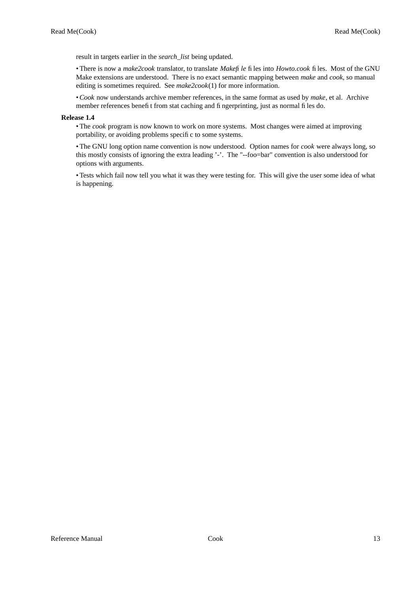result in targets earlier in the *search\_list* being updated.

• There is now a *make2cook* translator, to translate *Makefile* files into *Howto.cook* files. Most of the GNU Make extensions are understood. There is no exact semantic mapping between *make* and *cook,* so manual editing is sometimes required. See *make2cook*(1) for more information.

• *Cook* now understands archive member references, in the same format as used by *make*, et al. Archive member references benefit from stat caching and fingerprinting, just as normal files do.

# **Release 1.4**

• The *cook* program is now known to work on more systems. Most changes were aimed at improving portability, or avoiding problems specific to some systems.

• The GNU long option name convention is now understood. Option names for *cook* were always long, so this mostly consists of ignoring the extra leading '-'. The "--foo=bar" convention is also understood for options with arguments.

• Tests which fail now tell you what it was they were testing for. This will give the user some idea of what is happening.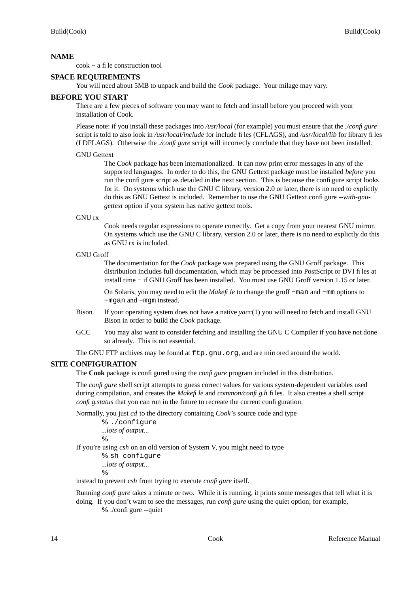cook − a file construction tool

# **SPACE REQUIREMENTS**

You will need about 5MB to unpack and build the *Cook* package. Your milage may vary.

# **BEFORE YOU START**

There are a few pieces of software you may want to fetch and install before you proceed with your installation of Cook.

Please note: if you install these packages into */usr/local* (for example) you must ensure that the *./configure* script is told to also look in */usr/local/include* for include files (CFLAGS), and */usr/local/lib* for library files (LDFLAGS). Otherwise the *./confi gure* script will incorrecly conclude that they have not been installed.

## GNU Gettext

The *Cook* package has been internationalized. It can now print error messages in any of the supported languages. In order to do this, the GNU Gettext package must be installed *before* you run the configure script as detailed in the next section. This is because the configure script looks for it. On systems which use the GNU C library, version 2.0 or later, there is no need to explictly do this as GNU Gettext is included. Remember to use the GNU Gettext configure *--with-gnugettext* option if your system has native gettext tools.

GNU rx

Cook needs regular expressions to operate correctly. Get a copy from your nearest GNU mirror. On systems which use the GNU C library, version 2.0 or later, there is no need to explictly do this as GNU rx is included.

```
GNU Groff
```
The documentation for the *Cook* package was prepared using the GNU Groff package. This distribution includes full documentation, which may be processed into PostScript or DVI files at install time − if GNU Groff has been installed. You must use GNU Groff version 1.15 or later.

On Solaris, you may need to edit the *Makefile* to change the groff −man and −mm options to −mgan and −mgm instead.

- Bison If your operating system does not have a native *yacc*(1) you will need to fetch and install GNU Bison in order to build the *Cook* package.
- GCC You may also want to consider fetching and installing the GNU C Compiler if you have not done so already. This is not essential.

The GNU FTP archives may be found at  $ftp.gnu.org$ , and are mirrored around the world.

# **SITE CONFIGURATION**

The **Cook** package is configured using the *configure* program included in this distribution.

The *configure* shell script attempts to guess correct values for various system-dependent variables used during compilation, and creates the *Makefile* and *common/config.h* files. It also creates a shell script *confi g.status* that you can run in the future to recreate the current configuration.

Normally, you just *cd* to the directory containing *Cook*'s source code and type

**%** ./configure *...lots of output...* **%**

If you're using *csh* on an old version of System V, you might need to type

```
% sh configure
...lots of output...
```
**%**

instead to prevent *csh* from trying to execute *configure* itself.

Running *configure* takes a minute or two. While it is running, it prints some messages that tell what it is doing. If you don't want to see the messages, run *configure* using the quiet option; for example,

**%** ./configure --quiet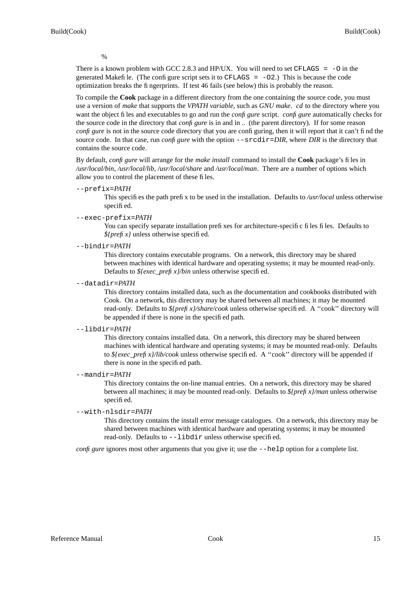%

There is a known problem with GCC 2.8.3 and HP/UX. You will need to set CFLAGS  $=$  -0 in the generated Makefile. (The configure script sets it to CFLAGS  $= -02$ .) This is because the code optimization breaks the fingerprints. If test 46 fails (see below) this is probably the reason.

To compile the **Cook** package in a different directory from the one containing the source code, you must use a version of *make* that supports the *VPATH variable,* such as *GNU make*. *cd* to the directory where you want the object files and executables to go and run the *configure* script. *configure* automatically checks for the source code in the directory that *configure* is in and in *..* (the parent directory). If for some reason *confi gure* is not in the source code directory that you are configuring, then it will report that it can't find the source code. In that case, run *confi gure* with the option  $-\text{srcdir}=DIR$ , where *DIR* is the directory that contains the source code.

By default, *configure* will arrange for the *make install* command to install the **Cook** package's files in */usr/local/bin*, */usr/local/lib*, */usr/local/share* and */usr/local/man*. There are a number of options which allow you to control the placement of these files.

## --prefix=*PA TH*

This specifies the path prefix to be used in the installation. Defaults to */usr/local* unless otherwise specified.

# --exec-prefix=*PA TH*

You can specify separate installation prefixes for architecture-specific files files. Defaults to *\${prefix}* unless otherwise specified.

--bindir=*PA TH*

This directory contains executable programs. On a network, this directory may be shared between machines with identical hardware and operating systems; it may be mounted read-only. Defaults to *\${exec\_prefix}/bin* unless otherwise specified.

--datadir=*PA TH*

This directory contains installed data, such as the documentation and cookbooks distributed with Cook. On a network, this directory may be shared between all machines; it may be mounted read-only. Defaults to *\${prefix}/share/cook* unless otherwise specified. A ''cook'' directory will be appended if there is none in the specified path.

## --libdir=*PA TH*

This directory contains installed data. On a network, this directory may be shared between machines with identical hardware and operating systems; it may be mounted read-only. Defaults to *\${exec\_prefix}/lib/cook* unless otherwise specified. A ''cook'' directory will be appended if there is none in the specified path.

--mandir=*PA TH*

This directory contains the on-line manual entries. On a network, this directory may be shared between all machines; it may be mounted read-only. Defaults to *\${prefix}/man* unless otherwise specified.

--with-nlsdir=*PA TH*

This directory contains the install error message catalogues. On a network, this directory may be shared between machines with identical hardware and operating systems; it may be mounted read-only. Defaults to --libdir unless otherwise specified.

*confi gure* ignores most other arguments that you give it; use the  $-\text{help}$  option for a complete list.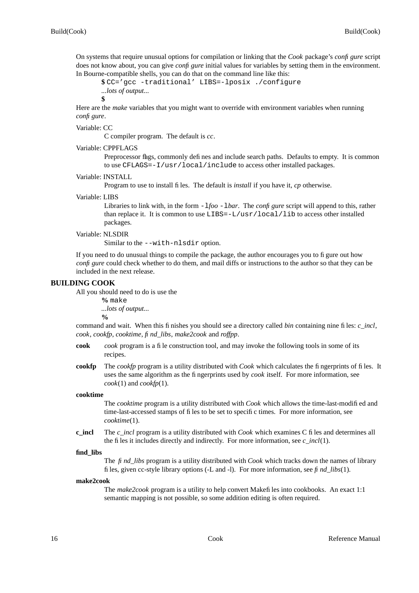On systems that require unusual options for compilation or linking that the *Cook* package's *configure* script does not know about, you can give *configure* initial values for variables by setting them in the environment. In Bourne-compatible shells, you can do that on the command line like this:

**\$** CC='gcc -traditional' LIBS=-lposix ./configure *...lots of output...*

**\$**

Here are the *make* variables that you might want to override with environment variables when running *configure*.

Variable: CC

C compiler program. The default is *cc*.

## Variable: CPPFLAGS

Preprocessor flags, commonly defines and include search paths. Defaults to empty. It is common to use CFLAGS=-I/usr/local/include to access other installed packages.

# Variable: INSTALL

Program to use to install files. The default is *install* if you have it, *cp* otherwise.

## Variable: LIBS

Libraries to link with, in the form  $-1$ *foo*  $-1$ *bar*. The *confi gure* script will append to this, rather than replace it. It is common to use LIBS=-L/usr/local/lib to access other installed packages.

## Variable: NLSDIR

Similar to the --with-nlsdir option.

If you need to do unusual things to compile the package, the author encourages you to figure out how *configure* could check whether to do them, and mail diffs or instructions to the author so that they can be included in the next release.

# **BUILDING COOK**

All you should need to do is use the

**%** make *...lots of output...* **%**

command and wait. When this finishes you should see a directory called *bin* containing nine files: *c\_incl*, *cook*, *cookfp*, *cooktime*, *find\_libs*, *make2cook* and *roffpp*.

- **cook** *cook* program is a file construction tool, and may invoke the following tools in some of its recipes.
- **cookfp** The *cookfp* program is a utility distributed with *Cook* which calculates the fingerprints of files. It uses the same algorithm as the fingerprints used by *cook* itself. For more information, see *cook*(1) and *cookfp*(1).

## **cooktime**

The *cooktime* program is a utility distributed with *Cook* which allows the time-last-modified and time-last-accessed stamps of files to be set to specific times. For more information, see *cooktime*(1).

**c\_incl** The *c\_incl* program is a utility distributed with *Cook* which examines C files and determines all the files it includes directly and indirectly. For more information, see *c\_incl*(1).

## **find\_libs**

The *find\_libs* program is a utility distributed with *Cook* which tracks down the names of library files, given cc-style library options  $(-L \text{ and } -1)$ . For more information, see *find\_libs* $(1)$ .

## **make2cook**

The *make2cook* program is a utility to help convert Makefiles into cookbooks. An exact 1:1 semantic mapping is not possible, so some addition editing is often required.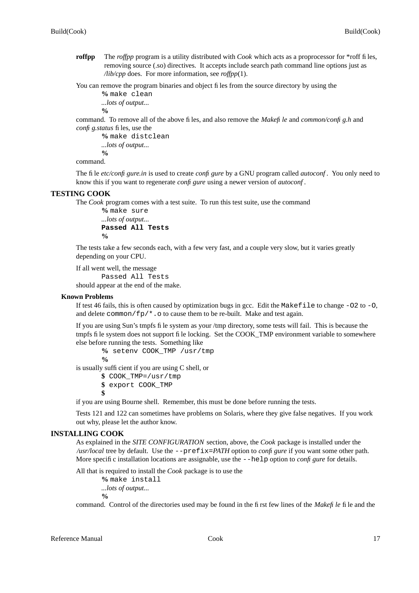- **roffpp** The *roffpp* program is a utility distributed with *Cook* which acts as a proprocessor for \*roff files, removing source (.so) directives. It accepts include search path command line options just as */lib/cpp* does. For more information, see *roffpp*(1).
- You can remove the program binaries and object files from the source directory by using the **%** make clean

```
...lots of output...
%
```
command. To remove all of the above files, and also remove the *Makefile* and *common/config.h* and *config.status* files, use the

```
% make distclean
...lots of output...
%
```
command.

The file *etc/configure.in* is used to create *configure* by a GNU program called *autoconf*. You only need to know this if you want to regenerate *configure* using a newer version of *autoconf*.

# **TESTING COOK**

The *Cook* program comes with a test suite. To run this test suite, use the command

```
% make sure
...lots of output...
Passed All Tests
%
```
The tests take a few seconds each, with a few very fast, and a couple very slow, but it varies greatly depending on your CPU.

If all went well, the message

Passed All Tests should appear at the end of the make.

## **Known Problems**

If test 46 fails, this is often caused by optimization bugs in gcc. Edit the Makefile to change  $-02$  to  $-0$ , and delete common/ $fp$ , o to cause them to be re-built. Make and test again.

If you are using Sun's tmpfs file system as your /tmp directory, some tests will fail. This is because the tmpfs file system does not support file locking. Set the COOK\_TMP environment variable to somewhere else before running the tests. Something like

**%** setenv COOK\_TMP /usr/tmp

**%**

is usually sufficient if you are using C shell, or

**\$** COOK\_TMP=/usr/tmp

**\$** export COOK\_TMP

**\$**

if you are using Bourne shell. Remember, this must be done before running the tests.

Tests 121 and 122 can sometimes have problems on Solaris, where they give false negatives. If you work out why, please let the author know.

# **INSTALLING COOK**

As explained in the *SITE CONFIGURATION* section, above, the *Cook* package is installed under the */usr/local* tree by default. Use the --prefix=*PA TH* option to *configure* if you want some other path. More specific installation locations are assignable, use the  $-\text{help}$  option to *confi gure* for details.

All that is required to install the *Cook* package is to use the

**%** make install

*...lots of output...*

**%**

command. Control of the directories used may be found in the first few lines of the *Makefile* file and the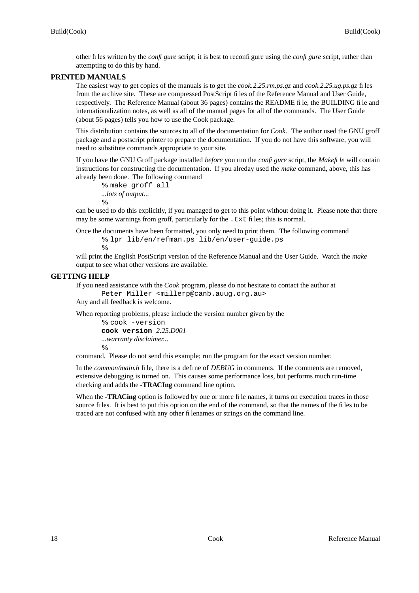other files written by the *configure* script; it is best to reconfigure using the *configure* script, rather than attempting to do this by hand.

# **PRINTED MANUALS**

The easiest way to get copies of the manuals is to get the *cook.2.25.rm.ps.gz* and *cook.2.25.ug.ps.gz* files from the archive site. These are compressed PostScript files of the Reference Manual and User Guide, respectively. The Reference Manual (about 36 pages) contains the README file, the BUILDING file and internationalization notes, as well as all of the manual pages for all of the commands. The User Guide (about 56 pages) tells you how to use the Cook package.

This distribution contains the sources to all of the documentation for *Cook*. The author used the GNU groff package and a postscript printer to prepare the documentation. If you do not have this software, you will need to substitute commands appropriate to your site.

If you have the GNU Groff package installed *before* you run the *configure* script, the *Makefile* will contain instructions for constructing the documentation. If you alreday used the *make* command, above, this has already been done. The following command

```
% make groff_all
...lots of output...
%
```
can be used to do this explicitly, if you managed to get to this point without doing it. Please note that there may be some warnings from groff, particularly for the . txt files; this is normal.

Once the documents have been formatted, you only need to print them. The following command **%** lpr lib/en/refman.ps lib/en/user-guide.ps

**%**

will print the English PostScript version of the Reference Manual and the User Guide. Watch the *make* output to see what other versions are available.

# **GETTING HELP**

If you need assistance with the *Cook* program, please do not hesitate to contact the author at

Peter Miller <millerp@canb.auug.org.au>

Any and all feedback is welcome.

When reporting problems, please include the version number given by the

```
% cook -version
cook version 2.25.D001
...warranty disclaimer...
%
```
command. Please do not send this example; run the program for the exact version number.

In the *common/main.h* file, there is a define of *DEBUG* in comments. If the comments are removed, extensive debugging is turned on. This causes some performance loss, but performs much run-time checking and adds the **-TRACIng** command line option.

When the **-TRACing** option is followed by one or more file names, it turns on execution traces in those source files. It is best to put this option on the end of the command, so that the names of the files to be traced are not confused with any other filenames or strings on the command line.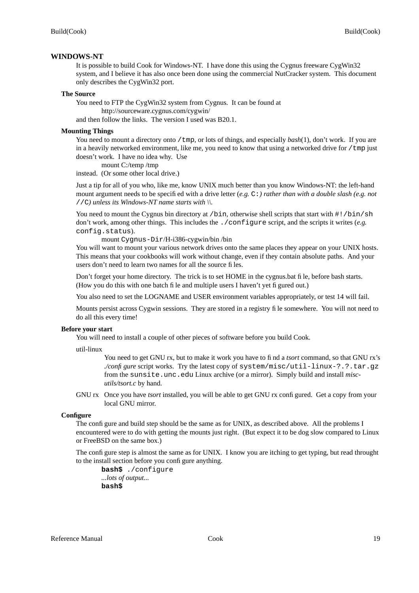## **WINDOWS-NT**

It is possible to build Cook for Windows-NT. I have done this using the Cygnus freeware CygWin32 system, and I believe it has also once been done using the commercial NutCracker system. This document only describes the CygWin32 port.

#### **The Source**

You need to FTP the CygWin32 system from Cygnus. It can be found at

http://sourceware.cygnus.com/cygwin/

and then follow the links. The version I used was B20.1.

# **Mounting Things**

You need to mount a directory onto /tmp, or lots of things, and especially *bash*(1), don't work. If you are in a heavily networked environment, like me, you need to know that using a networked drive for  $/$  tmp just doesn't work. I have no idea why. Use

mount C:/temp /tmp

instead. (Or some other local drive.)

Just a tip for all of you who, like me, know UNIX much better than you know Windows-NT: the left-hand mount argument needs to be specified with a drive letter (*e.g.* C:*) rather than with a double slash (e.g. not* //C*) unless its Windows-NT name starts with \\.*

You need to mount the Cygnus bin directory at /bin, otherwise shell scripts that start with  $\#$ !/bin/sh don't work, among other things. This includes the ./configure script, and the scripts it writes (*e.g.* config.status).

mount Cygnus-Dir/H-i386-cygwin/bin /bin

You will want to mount your various network drives onto the same places they appear on your UNIX hosts. This means that your cookbooks will work without change, even if they contain absolute paths. And your users don't need to learn two names for all the source files.

Don't forget your home directory. The trick is to set HOME in the cygnus.bat file, before bash starts. (How you do this with one batch file and multiple users I haven't yet figured out.)

You also need to set the LOGNAME and USER environment variables appropriately, or test 14 will fail.

Mounts persist across Cygwin sessions. They are stored in a registry file somewhere. You will not need to do all this every time!

# **Before your start**

You will need to install a couple of other pieces of software before you build Cook.

util-linux

You need to get GNU rx, but to make it work you have to find a *tsort* command, so that GNU rx's *./configure* script works. Try the latest copy of system/misc/util-linux-?.?.tar.gz from the sunsite.unc.edu Linux archive (or a mirror). Simply build and install *miscutils/tsort.c* by hand.

GNU rx Once you have *tsort* installed, you will be able to get GNU rx configured. Get a copy from your local GNU mirror.

# **Configure**

The configure and build step should be the same as for UNIX, as described above. All the problems I encountered were to do with getting the mounts just right. (But expect it to be dog slow compared to Linux or FreeBSD on the same box.)

The configure step is almost the same as for UNIX. I know you are itching to get typing, but read throught to the install section before you configure anything.

**bash\$** ./configure *...lots of output...* **bash\$**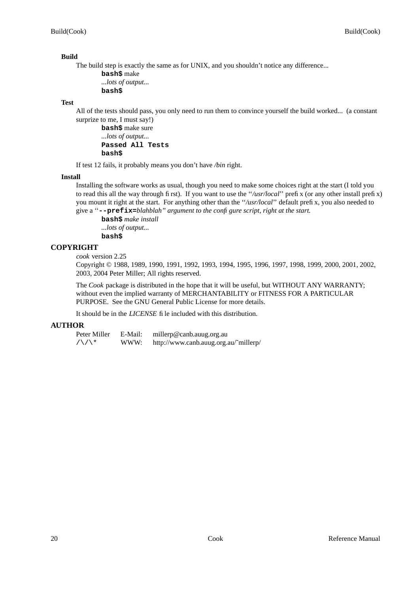# **Build**

The build step is exactly the same as for UNIX, and you shouldn't notice any difference...

**bash\$** make *...lots of output...* **bash\$**

# **Test**

All of the tests should pass, you only need to run them to convince yourself the build worked... (a constant surprize to me, I must say!)

**bash\$** make sure *...lots of output...* **Passed All Tests bash\$**

If test 12 fails, it probably means you don't have */bin* right.

# **Install**

Installing the software works as usual, though you need to make some choices right at the start (I told you to read this all the way through first). If you want to use the ''*/usr/local*'' prefix (or any other install prefix) you mount it right at the start. For anything other than the ''*/usr/local*'' default prefix, you also needed to give a ''**--prefix=***blahblah'' argument to the configure script, right at the start.*

**bash\$** *make install ...lots of output...* **bash\$**

# **COPYRIGHT**

*cook* version 2.25

Copyright © 1988, 1989, 1990, 1991, 1992, 1993, 1994, 1995, 1996, 1997, 1998, 1999, 2000, 2001, 2002, 2003, 2004 Peter Miller; All rights reserved.

The *Cook* package is distributed in the hope that it will be useful, but WITHOUT ANY WARRANTY; without even the implied warranty of MERCHANTABILITY or FITNESS FOR A PARTICULAR PURPOSE. See the GNU General Public License for more details.

It should be in the *LICENSE* file included with this distribution.

# **AUTHOR**

Peter Miller E-Mail: millerp@canb.auug.org.au  $/\sqrt{\phantom{a}}$  WWW: http://www.canb.auug.org.au/~millerp/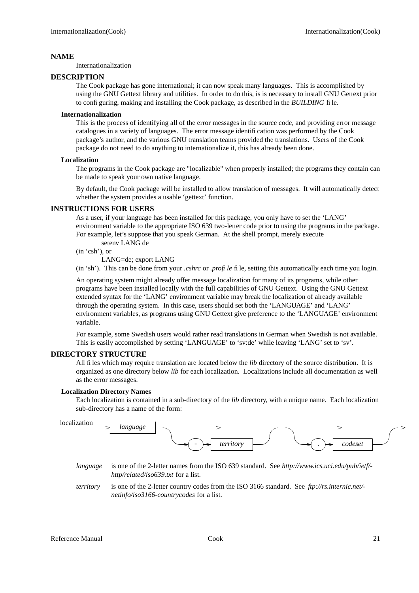Internationalization

# **DESCRIPTION**

The Cook package has gone international; it can now speak many languages. This is accomplished by using the GNU Gettext library and utilities. In order to do this, is is necessary to install GNU Gettext prior to configuring, making and installing the Cook package, as described in the *BUILDING* file.

# **Internationalization**

This is the process of identifying all of the error messages in the source code, and providing error message catalogues in a variety of languages. The error message identification was performed by the Cook package's author, and the various GNU translation teams provided the translations. Users of the Cook package do not need to do anything to internationalize it, this has already been done.

# **Localization**

The programs in the Cook package are "localizable" when properly installed; the programs they contain can be made to speak your own native language.

By default, the Cook package will be installed to allow translation of messages. It will automatically detect whether the system provides a usable 'gettext' function.

# **INSTRUCTIONS FOR USERS**

As a user, if your language has been installed for this package, you only have to set the 'LANG' environment variable to the appropriate ISO 639 two-letter code prior to using the programs in the package. For example, let's suppose that you speak German. At the shell prompt, merely execute

setenv LANG de

(in 'csh'), or

LANG=de; export LANG

(in 'sh'). This can be done from your *.cshrc* or *.profile* file, setting this automatically each time you login.

An operating system might already offer message localization for many of its programs, while other programs have been installed locally with the full capabilities of GNU Gettext. Using the GNU Gettext extended syntax for the 'LANG' environment variable may break the localization of already available through the operating system. In this case, users should set both the 'LANGUAGE' and 'LANG' environment variables, as programs using GNU Gettext give preference to the 'LANGUAGE' environment variable.

For example, some Swedish users would rather read translations in German when Swedish is not available. This is easily accomplished by setting 'LANGUAGE' to 'sv:de' while leaving 'LANG' set to 'sv'.

# **DIRECTORY STRUCTURE**

All files which may require translation are located below the *lib* directory of the source distribution. It is organized as one directory below *lib* for each localization. Localizations include all documentation as well as the error messages.

# **Localization Directory Names**

Each localization is contained in a sub-directory of the *lib* directory, with a unique name. Each localization sub-directory has a name of the form:

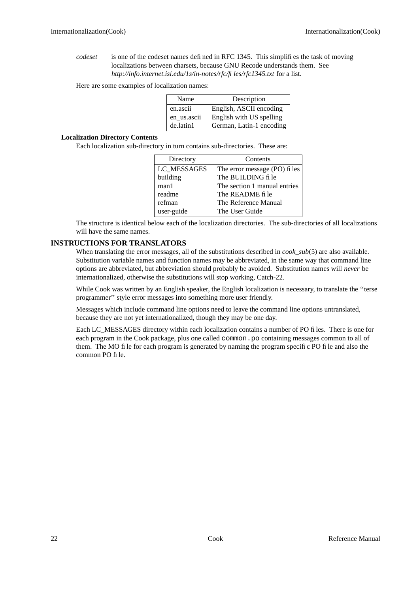*codeset* is one of the codeset names defined in RFC 1345. This simplifies the task of moving localizations between charsets, because GNU Recode understands them. See *http://info.internet.isi.edu/1s/in-notes/rfc/files/rfc1345.txt* for a list.

Here are some examples of localization names:

| Name        | Description              |
|-------------|--------------------------|
| en.ascii    | English, ASCII encoding  |
| en_us.ascii | English with US spelling |
| de.latin1   | German, Latin-1 encoding |

# **Localization Directory Contents**

Each localization sub-directory in turn contains sub-directories. These are:

| Directory   | Contents                      |
|-------------|-------------------------------|
| LC MESSAGES | The error message (PO) fi les |
| building    | The BUILDING fi le            |
| man1        | The section 1 manual entries  |
| readme      | The README file               |
| refman      | The Reference Manual          |
| user-guide  | The User Guide                |

The structure is identical below each of the localization directories. The sub-directories of all localizations will have the same names.

# **INSTRUCTIONS FOR TRANSLATORS**

When translating the error messages, all of the substitutions described in *cook* sub(5) are also available. Substitution variable names and function names may be abbreviated, in the same way that command line options are abbreviated, but abbreviation should probably be avoided. Substitution names will *never* be internationalized, otherwise the substitutions will stop working, Catch-22.

While Cook was written by an English speaker, the English localization is necessary, to translate the ''terse programmer'' style error messages into something more user friendly.

Messages which include command line options need to leave the command line options untranslated, because they are not yet internationalized, though they may be one day.

Each LC\_MESSAGES directory within each localization contains a number of PO files. There is one for each program in the Cook package, plus one called common.po containing messages common to all of them. The MO file for each program is generated by naming the program specific PO file and also the common PO file.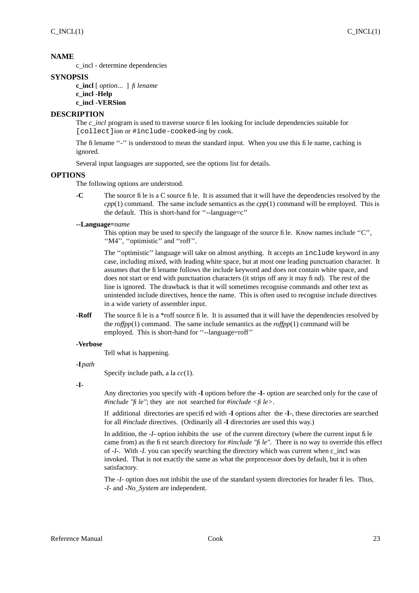c\_incl - determine dependencies

# **SYNOPSIS**

**c\_incl** [ *option*... ] *filename* **c\_incl -Help c\_incl -VERSion**

# **DESCRIPTION**

The *c* incl program is used to traverse source files looking for include dependencies suitable for [collect]ion or #include-cooked-ing by cook.

The filename "-" is understood to mean the standard input. When you use this file name, caching is ignored.

Several input languages are supported, see the options list for details.

# **OPTIONS**

The following options are understood.

**-C** The source file is a C source file. It is assumed that it will have the dependencies resolved by the *cpp*(1) command. The same include semantics as the *cpp*(1) command will be employed. This is the default. This is short-hand for ''--language=c''

# **--Language=***name*

This option may be used to specify the language of the source file. Know names include ''C'', "M4", "optimistic" and "roff".

The ''optimistic'' language will take on almost anything. It accepts an include keyword in any case, including mixed, with leading white space, but at most one leading punctuation character. It assumes that the filename follows the include keyword and does not contain white space, and does not start or end with punctuation characters (it strips off any it may find). The rest of the line is ignored. The drawback is that it will sometimes recognise commands and other text as unintended include directives, hence the name. This is often used to recognise include directives in a wide variety of assembler input.

**-Roff** The source file is a \*roff source file. It is assumed that it will have the dependencies resolved by the *roffpp*(1) command. The same include semantics as the *roffpp*(1) command will be employed. This is short-hand for "--language=roff"

# **-Verbose**

Tell what is happening.

# **-I** *path*

Specify include path, a la *cc*(1).

**-I-**

Any directories you specify with **-I** options before the **-I-** option are searched only for the case of *#include "file"*; they are not searched for *#include <file>*.

If additional directories are specified with **-I** options after the **-I-**, these directories are searched for all *#include* directives. (Ordinarily all **-I** directories are used this way.)

In addition, the *-I*- option inhibits the use of the current directory (where the current input file came from) as the first search directory for *#include "file"*. There is no way to override this effect of *-I-*. With *-I.* you can specify searching the directory which was current when c\_incl was invoked. That is not exactly the same as what the preprocessor does by default, but it is often satisfactory.

The *-I-* option does not inhibit the use of the standard system directories for header files. Thus, *-I-* and *-No\_System* are independent.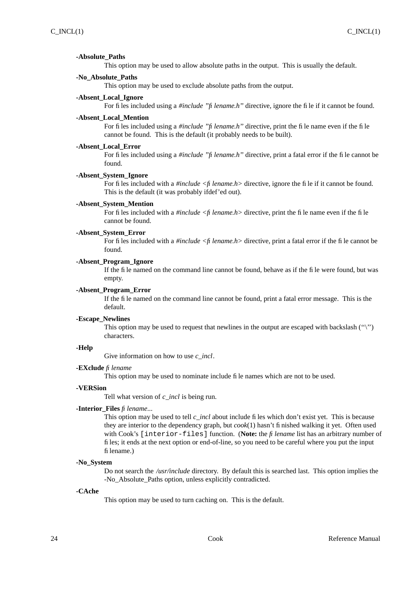#### **-Absolute\_Paths**

This option may be used to allow absolute paths in the output. This is usually the default.

## **-No\_Absolute\_Paths**

This option may be used to exclude absolute paths from the output.

#### **-Absent\_Local\_Ignore**

For files included using a *#include "filename.h"* directive, ignore the file if it cannot be found.

#### **-Absent\_Local\_Mention**

For files included using a *#include "filename.h"* directive, print the file name even if the file cannot be found. This is the default (it probably needs to be built).

#### **-Absent\_Local\_Error**

For files included using a *#include ''filename.h''* directive, print a fatal error if the file cannot be found.

#### **-Absent\_System\_Ignore**

For files included with a *#include <filename.h>* directive, ignore the file if it cannot be found. This is the default (it was probably ifdef'ed out).

## **-Absent\_System\_Mention**

For files included with a *#include <filename.h>* directive, print the file name even if the file cannot be found.

#### **-Absent\_System\_Error**

For files included with a *#include <filename.h>* directive, print a fatal error if the file cannot be found.

## **-Absent\_Program\_Ignore**

If the file named on the command line cannot be found, behave as if the file were found, but was empty.

## **-Absent\_Program\_Error**

If the file named on the command line cannot be found, print a fatal error message. This is the default.

#### **-Escape\_Newlines**

This option may be used to request that newlines in the output are escaped with backslash  $($ " $\rangle$ ") characters.

## **-Help**

Give information on how to use *c\_incl*.

#### **-EXclude** *filename*

This option may be used to nominate include file names which are not to be used.

# **-VERSion**

Tell what version of *c\_incl* is being run.

#### **-Interior\_Files** *filename*...

This option may be used to tell *c\_incl* about include files which don't exist yet. This is because they are interior to the dependency graph, but *cook*(1) hasn't finished walking it yet. Often used with Cook's [interior-files] function. (**Note:** the *filename* list has an arbitrary number of files; it ends at the next option or end-of-line, so you need to be careful where you put the input filename.)

#### **-No\_System**

Do not search the */usr/include* directory. By default this is searched last. This option implies the -No\_Absolute\_Paths option, unless explicitly contradicted.

## **-CAche**

This option may be used to turn caching on. This is the default.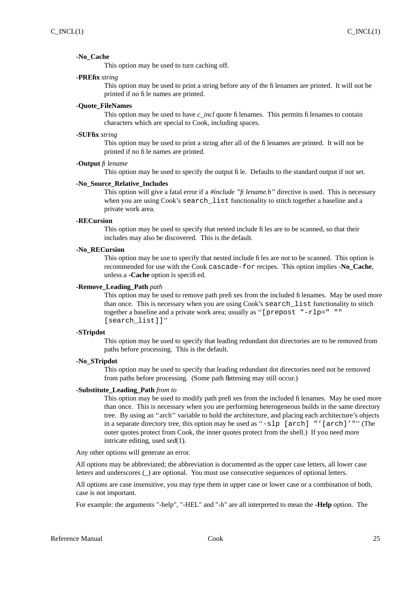#### **-No\_Cache**

This option may be used to turn caching off.

## **-PREfix** *string*

This option may be used to print a string before any of the filenames are printed. It will not be printed if no file names are printed.

#### **-Quote\_FileNames**

This option may be used to have *c* incl quote filenames. This permits filenames to contain characters which are special to Cook, including spaces.

#### **-SUFfix** *string*

This option may be used to print a string after all of the filenames are printed. It will not be printed if no file names are printed.

## **-Output** *filename*

This option may be used to specify the output file. Defaults to the standard output if not set.

# **-No\_Source\_Relative\_Includes**

This option will give a fatal error if a *#include ''filename.h''* directive is used. This is necessary when you are using Cook's search\_list functionality to stitch together a baseline and a private work area.

#### **-RECursion**

This option may be used to specify that nested include files are to be scanned, so that their includes may also be discovered. This is the default.

#### **-No\_RECursion**

This option may be use to specify that nested include files are *not* to be scanned. This option is recommended for use with the Cook cascade-for recipes. This option implies -**No\_Cache**, unless a **-Cache** option is specified.

#### **-Remove\_Leading\_Path** *path*

This option may be used to remove path prefixes from the included filenames. May be used more than once. This is necessary when you are using Cook's search\_list functionality to stitch together a baseline and a private work area; usually as ''[prepost "-rlp=" "" [search\_list]]''

#### **-STripdot**

This option may be used to specify that leading redundant dot directories are to be removed from paths before processing. This is the default.

#### **-No\_STripdot**

This option may be used to specify that leading redundant dot directories need not be removed from paths before processing. (Some path flattening may still occur.)

#### **-Substitute\_Leading\_Path** *from to*

This option may be used to modify path prefixes from the included filenames. May be used more than once. This is necessary when you are performing heterogeneous builds in the same directory tree. By using an ''arch'' variable to hold the architecture, and placing each architecture's objects in a separate directory tree, this option may be used as "-slp [arch] "'[arch]'"" (The outer quotes protect from Cook, the inner quotes protect from the shell.) If you need more intricate editing, used *sed*(1).

Any other options will generate an error.

All options may be abbreviated; the abbreviation is documented as the upper case letters, all lower case letters and underscores (\_) are optional. You must use consecutive sequences of optional letters.

All options are case insensitive, you may type them in upper case or lower case or a combination of both, case is not important.

For example: the arguments "-help", "-HEL" and "-h" are all interpreted to mean the **-Help** option. The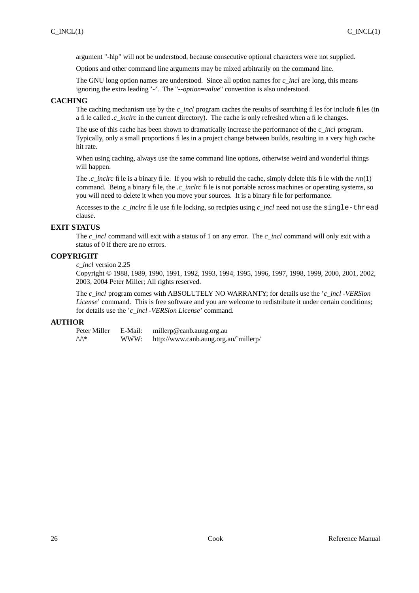argument "-hlp" will not be understood, because consecutive optional characters were not supplied.

Options and other command line arguments may be mixed arbitrarily on the command line.

The GNU long option names are understood. Since all option names for *c\_incl* are long, this means ignoring the extra leading '-'. The "**--***option***=***value*" convention is also understood.

# **CACHING**

The caching mechanism use by the *c* incl program caches the results of searching files for include files (in a file called *.c\_inclrc* in the current directory). The cache is only refreshed when a file changes.

The use of this cache has been shown to dramatically increase the performance of the *c\_incl* program. Typically, only a small proportions files in a project change between builds, resulting in a very high cache hit rate.

When using caching, always use the same command line options, otherwise weird and wonderful things will happen.

The *.c\_inclrc* file is a binary file. If you wish to rebuild the cache, simply delete this file with the *rm*(1) command. Being a binary file, the *.c\_inclrc* file is not portable across machines or operating systems, so you will need to delete it when you move your sources. It is a binary file for performance.

Accesses to the *.c\_inclrc* file use file locking, so recipies using *c\_incl* need not use the single-thread clause.

# **EXIT STATUS**

The *c\_incl* command will exit with a status of 1 on any error. The *c\_incl* command will only exit with a status of 0 if there are no errors.

# **COPYRIGHT**

*c\_incl* version 2.25

Copyright © 1988, 1989, 1990, 1991, 1992, 1993, 1994, 1995, 1996, 1997, 1998, 1999, 2000, 2001, 2002, 2003, 2004 Peter Miller; All rights reserved.

The *c\_incl* program comes with ABSOLUTELY NO WARRANTY; for details use the '*c\_incl -VERSion License*' command. This is free software and you are welcome to redistribute it under certain conditions; for details use the '*c\_incl -VERSion License*' command.

# **AUTHOR**

Peter Miller E-Mail: millerp@canb.auug.org.au /\/\\* WWW: http://www.canb.auug.org.au/˜millerp/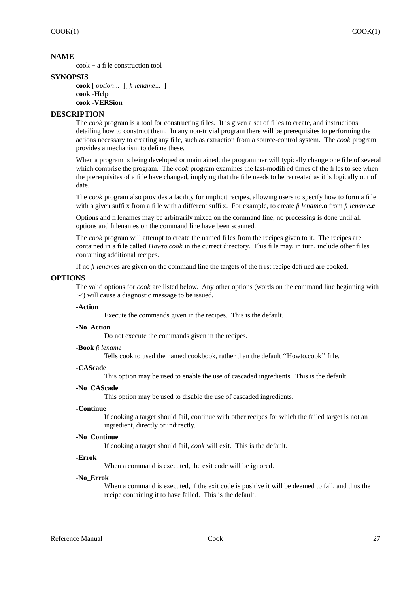cook − a file construction tool

# **SYNOPSIS**

**cook** [ *option*... ][ *filename*... ] **cook -Help cook -VERSion**

# **DESCRIPTION**

The *cook* program is a tool for constructing files. It is given a set of files to create, and instructions detailing how to construct them. In any non-trivial program there will be prerequisites to performing the actions necessary to creating any file, such as extraction from a source-control system. The *cook* program provides a mechanism to define these.

When a program is being developed or maintained, the programmer will typically change one file of several which comprise the program. The *cook* program examines the last-modified times of the files to see when the prerequisites of a file have changed, implying that the file needs to be recreated as it is logically out of date.

The *cook* program also provides a facility for implicit recipes, allowing users to specify how to form a file with a given suffix from a file with a different suffix. For example, to create *filename***.o** from *filename***.c**

Options and filenames may be arbitrarily mixed on the command line; no processing is done until all options and filenames on the command line have been scanned.

The *cook* program will attempt to create the named files from the recipes given to it. The recipes are contained in a file called *Howto.cook* in the currect directory. This file may, in turn, include other files containing additional recipes.

If no *filename*s are given on the command line the targets of the first recipe defined are cooked.

# **OPTIONS**

The valid options for *cook* are listed below. Any other options (words on the command line beginning with '**-**') will cause a diagnostic message to be issued.

## **-Action**

Execute the commands given in the recipes. This is the default.

## **-No\_Action**

Do not execute the commands given in the recipes.

## **-Book** *filename*

Tells cook to used the named cookbook, rather than the default ''Howto.cook'' file.

## **-CAScade**

This option may be used to enable the use of cascaded ingredients. This is the default.

## **-No\_CAScade**

This option may be used to disable the use of cascaded ingredients.

## **-Continue**

If cooking a target should fail, continue with other recipes for which the failed target is not an ingredient, directly or indirectly.

# **-No\_Continue**

If cooking a target should fail, *cook* will exit. This is the default.

## **-Errok**

When a command is executed, the exit code will be ignored.

## **-No\_Errok**

When a command is executed, if the exit code is positive it will be deemed to fail, and thus the recipe containing it to have failed. This is the default.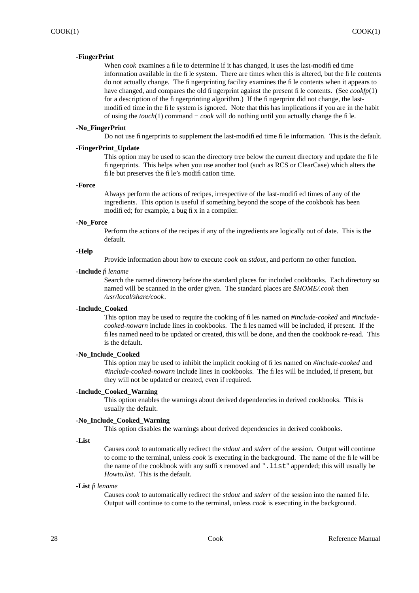# **-FingerPrint**

When *cook* examines a file to determine if it has changed, it uses the last-modified time information available in the file system. There are times when this is altered, but the file contents do not actually change. The fingerprinting facility examines the file contents when it appears to have changed, and compares the old fingerprint against the present file contents. (See *cookfp*(1) for a description of the fingerprinting algorithm.) If the fingerprint did not change, the lastmodified time in the file system is ignored. Note that this has implications if you are in the habit of using the *touch*(1) command − *cook* will do nothing until you actually change the file.

## **-No\_FingerPrint**

Do not use fingerprints to supplement the last-modified time file information. This is the default.

## **-FingerPrint\_Update**

This option may be used to scan the directory tree below the current directory and update the file fingerprints. This helps when you use another tool (such as RCS or ClearCase) which alters the file but preserves the file's modification time.

#### **-Force**

Always perform the actions of recipes, irrespective of the last-modified times of any of the ingredients. This option is useful if something beyond the scope of the cookbook has been modified; for example, a bug fix in a compiler.

#### **-No\_Force**

Perform the actions of the recipes if any of the ingredients are logically out of date. This is the default.

## **-Help**

Provide information about how to execute *cook* on *stdout*, and perform no other function.

#### **-Include** *filename*

Search the named directory before the standard places for included cookbooks. Each directory so named will be scanned in the order given. The standard places are *\$HOME/.cook* then */usr/local/share/cook*.

## **-Include\_Cooked**

This option may be used to require the cooking of files named on *#include-cooked* and *#includecooked-nowarn* include lines in cookbooks. The files named will be included, if present. If the files named need to be updated or created, this will be done, and then the cookbook re-read. This is the default.

#### **-No\_Include\_Cooked**

This option may be used to inhibit the implicit cooking of files named on *#include-cooked* and *#include-cooked-nowarn* include lines in cookbooks. The files will be included, if present, but they will not be updated or created, even if required.

## **-Include\_Cooked\_Warning**

This option enables the warnings about derived dependencies in derived cookbooks. This is usually the default.

# **-No\_Include\_Cooked\_Warning**

This option disables the warnings about derived dependencies in derived cookbooks.

#### **-List**

Causes *cook* to automatically redirect the *stdout* and *stderr* of the session. Output will continue to come to the terminal, unless *cook* is executing in the background. The name of the file will be the name of the cookbook with any suffix removed and ".list" appended; this will usually be *Howto.list*. This is the default.

#### **-List** *filename*

Causes *cook* to automatically redirect the *stdout* and *stderr* of the session into the named file. Output will continue to come to the terminal, unless *cook* is executing in the background.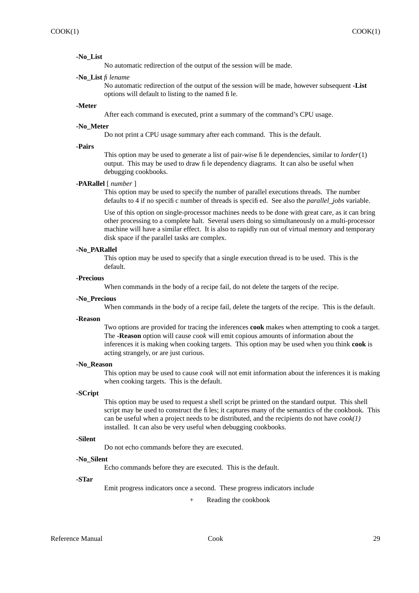#### **-No\_List**

No automatic redirection of the output of the session will be made.

#### **-No\_List** *filename*

No automatic redirection of the output of the session will be made, however subsequent **-List** options will default to listing to the named file.

#### **-Meter**

After each command is executed, print a summary of the command's CPU usage.

#### **-No\_Meter**

Do not print a CPU usage summary after each command. This is the default.

# **-Pairs**

This option may be used to generate a list of pair-wise file dependencies, similar to *lorder*(1) output. This may be used to draw file dependency diagrams. It can also be useful when debugging cookbooks.

## **-PARallel** [ *number* ]

This option may be used to specify the number of parallel executions threads. The number defaults to 4 if no specific number of threads is specified. See also the *parallel\_jobs* variable.

Use of this option on single-processor machines needs to be done with great care, as it can bring other processing to a complete halt. Several users doing so simultaneously on a multi-processor machine will have a similar effect. It is also to rapidly run out of virtual memory and temporary disk space if the parallel tasks are complex.

#### **-No\_PARallel**

This option may be used to specify that a single execution thread is to be used. This is the default.

## **-Precious**

When commands in the body of a recipe fail, do not delete the targets of the recipe.

#### **-No\_Precious**

When commands in the body of a recipe fail, delete the targets of the recipe. This is the default.

# **-Reason**

Two options are provided for tracing the inferences **cook** makes when attempting to cook a target. The **-Reason** option will cause *cook* will emit copious amounts of information about the inferences it is making when cooking targets. This option may be used when you think **cook** is acting strangely, or are just curious.

#### **-No\_Reason**

This option may be used to cause *cook* will not emit information about the inferences it is making when cooking targets. This is the default.

# **-SCript**

This option may be used to request a shell script be printed on the standard output. This shell script may be used to construct the files; it captures many of the semantics of the cookbook. This can be useful when a project needs to be distributed, and the recipients do not have *cook(1)* installed. It can also be very useful when debugging cookbooks.

## **-Silent**

Do not echo commands before they are executed.

## **-No\_Silent**

Echo commands before they are executed. This is the default.

#### **-STar**

Emit progress indicators once a second. These progress indicators include

Reading the cookbook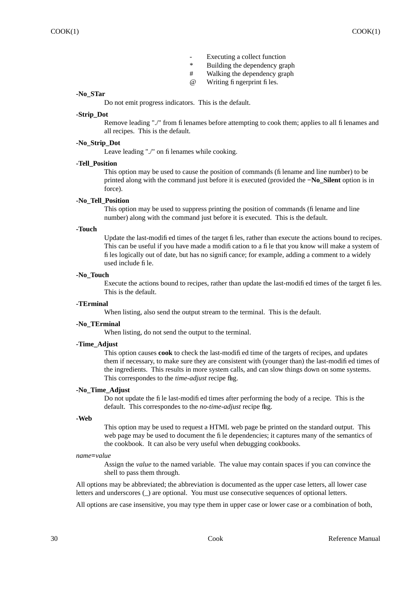- Executing a collect function<br>  $*$  Puilding the dependency are
- Building the dependency graph
- # Walking the dependency graph
- @ Writing fingerprint files.

## **-No\_STar**

Do not emit progress indicators. This is the default.

# **-Strip\_Dot**

Remove leading "./" from filenames before attempting to cook them; applies to all filenames and all recipes. This is the default.

# **-No\_Strip\_Dot**

Leave leading "./" on filenames while cooking.

#### **-Tell\_Position**

This option may be used to cause the position of commands (filename and line number) to be printed along with the command just before it is executed (provided the **−No\_Silent** option is in force).

# **-No\_Tell\_Position**

This option may be used to suppress printing the position of commands (filename and line number) along with the command just before it is executed. This is the default.

# **-Touch**

Update the last-modified times of the target files, rather than execute the actions bound to recipes. This can be useful if you have made a modification to a file that you know will make a system of files logically out of date, but has no significance; for example, adding a comment to a widely used include file.

## **-No\_Touch**

Execute the actions bound to recipes, rather than update the last-modified times of the target files. This is the default.

## **-TErminal**

When listing, also send the output stream to the terminal. This is the default.

## **-No\_TErminal**

When listing, do not send the output to the terminal.

#### **-Time\_Adjust**

This option causes **cook** to check the last-modified time of the targets of recipes, and updates them if necessary, to make sure they are consistent with (younger than) the last-modified times of the ingredients. This results in more system calls, and can slow things down on some systems. This correspondes to the *time-adjust* recipe flag.

## **-No\_Time\_Adjust**

Do not update the file last-modified times after performing the body of a recipe. This is the default. This correspondes to the *no-time-adjust* recipe flag.

## **-Web**

This option may be used to request a HTML web page be printed on the standard output. This web page may be used to document the file dependencies; it captures many of the semantics of the cookbook. It can also be very useful when debugging cookbooks.

#### *name***=***value*

Assign the *value* to the named variable. The value may contain spaces if you can convince the shell to pass them through.

All options may be abbreviated; the abbreviation is documented as the upper case letters, all lower case letters and underscores (\_) are optional. You must use consecutive sequences of optional letters.

All options are case insensitive, you may type them in upper case or lower case or a combination of both,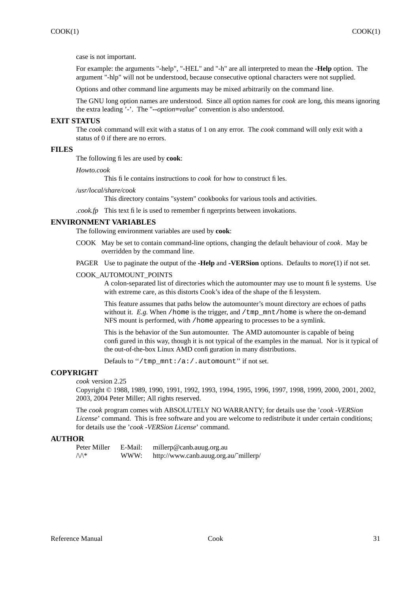case is not important.

For example: the arguments "-help", "-HEL" and "-h" are all interpreted to mean the **-Help** option. The argument "-hlp" will not be understood, because consecutive optional characters were not supplied.

Options and other command line arguments may be mixed arbitrarily on the command line.

The GNU long option names are understood. Since all option names for *cook* are long, this means ignoring the extra leading '-'. The "**--***option***=***value*" convention is also understood.

# **EXIT STATUS**

The *cook* command will exit with a status of 1 on any error. The *cook* command will only exit with a status of 0 if there are no errors.

# **FILES**

The following files are used by **cook**:

*Howto.cook*

This file contains instructions to *cook* for how to construct files.

# */usr/local/share/cook*

This directory contains "system" cookbooks for various tools and activities.

*.cook.fp* This text file is used to remember fingerprints between invokations.

## **ENVIRONMENT VARIABLES**

The following environment variables are used by **cook**:

- COOK May be set to contain command-line options, changing the default behaviour of *cook*. May be overridden by the command line.
- PA GER Use to paginate the output of the **-Help** and **-VERSion** options. Defaults to *more*(1) if not set.

# COOK\_AUTOMOUNT\_POINTS

A colon-separated list of directories which the automounter may use to mount file systems. Use with extreme care, as this distorts Cook's idea of the shape of the filesystem.

This feature assumes that paths below the automounter's mount directory are echoes of paths without it.  $E.g.$  When /home is the trigger, and /tmp\_mnt/home is where the on-demand NFS mount is performed, with /home appearing to processes to be a symlink.

This is the behavior of the Sun automounter. The AMD automounter is capable of being configured in this way, though it is not typical of the examples in the manual. Nor is it typical of the out-of-the-box Linux AMD configuration in many distributions.

Defauls to "/tmp\_mnt:/a:/.automount" if not set.

# **COPYRIGHT**

*cook* version 2.25

Copyright © 1988, 1989, 1990, 1991, 1992, 1993, 1994, 1995, 1996, 1997, 1998, 1999, 2000, 2001, 2002, 2003, 2004 Peter Miller; All rights reserved.

The *cook* program comes with ABSOLUTELY NO WARRANTY; for details use the '*cook -VERSion License*' command. This is free software and you are welcome to redistribute it under certain conditions; for details use the '*cook -VERSion License*' command.

# **AUTHOR**

| Peter Miller    | E-Mail: | millerp@canb.auug.org.au              |
|-----------------|---------|---------------------------------------|
| $\mathcal{M}^*$ | WWW:    | http://www.canb.auug.org.au/~millerp/ |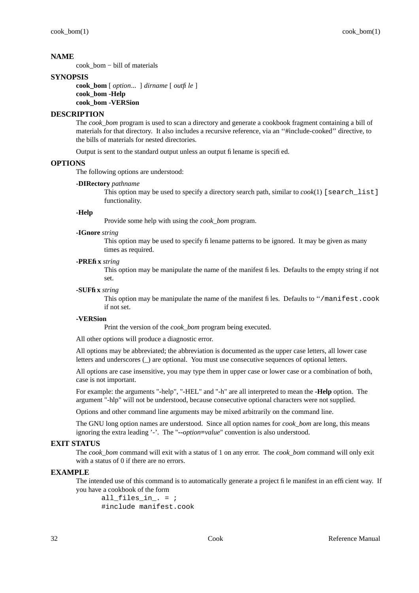cook\_bom − bill of materials

# **SYNOPSIS**

**cook\_bom** [ *option*... ] *dirname* [ *outfile* ] **cook\_bom -Help cook\_bom -VERSion**

# **DESCRIPTION**

The *cook bom* program is used to scan a directory and generate a cookbook fragment containing a bill of materials for that directory. It also includes a recursive reference, via an ''#include-cooked'' directive, to the bills of materials for nested directories.

Output is sent to the standard output unless an output filename is specified.

# **OPTIONS**

The following options are understood:

## **-DIRectory** *pathname*

This option may be used to specify a directory search path, similar to  $\cosh(1)$  [search list] functionality.

## **-Help**

Provide some help with using the *cook\_bom* program.

## **-IGnore** *string*

This option may be used to specify filename patterns to be ignored. It may be given as many times as required.

#### **-PREfix** *string*

This option may be manipulate the name of the manifest files. Defaults to the empty string if not set.

## **-SUFfix** *string*

This option may be manipulate the name of the manifest files. Defaults to "/manifest.cook if not set.

## **-VERSion**

Print the version of the *cook\_bom* program being executed.

All other options will produce a diagnostic error.

All options may be abbreviated; the abbreviation is documented as the upper case letters, all lower case letters and underscores (\_) are optional. You must use consecutive sequences of optional letters.

All options are case insensitive, you may type them in upper case or lower case or a combination of both, case is not important.

For example: the arguments "-help", "-HEL" and "-h" are all interpreted to mean the **-Help** option. The argument "-hlp" will not be understood, because consecutive optional characters were not supplied.

Options and other command line arguments may be mixed arbitrarily on the command line.

The GNU long option names are understood. Since all option names for *cook\_bom* are long, this means ignoring the extra leading '-'. The "**--***option***=***value*" convention is also understood.

# **EXIT STATUS**

The *cook\_bom* command will exit with a status of 1 on any error. The *cook\_bom* command will only exit with a status of 0 if there are no errors.

## **EXAMPLE**

The intended use of this command is to automatically generate a project file manifest in an efficient way. If you have a cookbook of the form

all files in  $=$  ; #include manifest.cook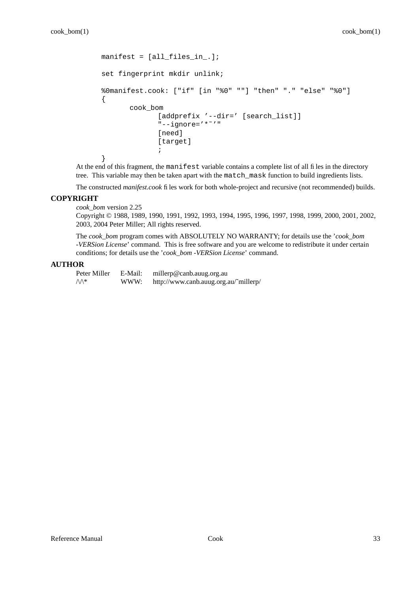```
manifest = [all_files_in.];
set fingerprint mkdir unlink;
%0manifest.cook: ["if" [in "%0" ""] "then" "." "else" "%0"]
{
       cook_bom
              [addprefix '--dir=' [search_list]]
              "--ignore='*"'"
              [need]
              [target]
              ;
}
```
At the end of this fragment, the manifest variable contains a complete list of all files in the directory tree. This variable may then be taken apart with the match\_mask function to build ingredients lists.

The constructed *manifest.cook* files work for both whole-project and recursive (not recommended) builds.

# **COPYRIGHT**

*cook\_bom* version 2.25

Copyright © 1988, 1989, 1990, 1991, 1992, 1993, 1994, 1995, 1996, 1997, 1998, 1999, 2000, 2001, 2002, 2003, 2004 Peter Miller; All rights reserved.

The *cook\_bom* program comes with ABSOLUTELY NO WARRANTY; for details use the '*cook\_bom -VERSion License*' command. This is free software and you are welcome to redistribute it under certain conditions; for details use the '*cook\_bom -VERSion License*' command.

# **AUTHOR**

Peter Miller E-Mail: millerp@canb.auug.org.au /\/\\* WWW: http://www.canb.auug.org.au/˜millerp/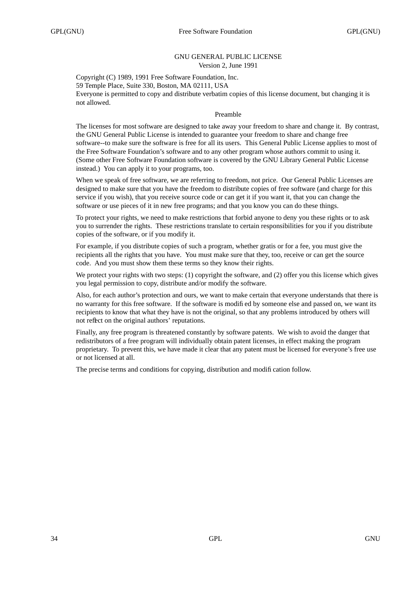# GNU GENERAL PUBLIC LICENSE Version 2, June 1991

Copyright (C) 1989, 1991 Free Software Foundation, Inc. 59 Temple Place, Suite 330, Boston, MA 02111, USA Everyone is permitted to copy and distribute verbatim copies of this license document, but changing it is not allowed.

# Preamble

The licenses for most software are designed to take away your freedom to share and change it. By contrast, the GNU General Public License is intended to guarantee your freedom to share and change free software--to make sure the software is free for all its users. This General Public License applies to most of the Free Software Foundation's software and to any other program whose authors commit to using it. (Some other Free Software Foundation software is covered by the GNU Library General Public License instead.) You can apply it to your programs, too.

When we speak of free software, we are referring to freedom, not price. Our General Public Licenses are designed to make sure that you have the freedom to distribute copies of free software (and charge for this service if you wish), that you receive source code or can get it if you want it, that you can change the software or use pieces of it in new free programs; and that you know you can do these things.

To protect your rights, we need to make restrictions that forbid anyone to deny you these rights or to ask you to surrender the rights. These restrictions translate to certain responsibilities for you if you distribute copies of the software, or if you modify it.

For example, if you distribute copies of such a program, whether gratis or for a fee, you must give the recipients all the rights that you have. You must make sure that they, too, receive or can get the source code. And you must show them these terms so they know their rights.

We protect your rights with two steps: (1) copyright the software, and (2) offer you this license which gives you legal permission to copy, distribute and/or modify the software.

Also, for each author's protection and ours, we want to make certain that everyone understands that there is no warranty for this free software. If the software is modified by someone else and passed on, we want its recipients to know that what they have is not the original, so that any problems introduced by others will not reflect on the original authors' reputations.

Finally, any free program is threatened constantly by software patents. We wish to avoid the danger that redistributors of a free program will individually obtain patent licenses, in effect making the program proprietary. To prevent this, we have made it clear that any patent must be licensed for everyone's free use or not licensed at all.

The precise terms and conditions for copying, distribution and modification follow.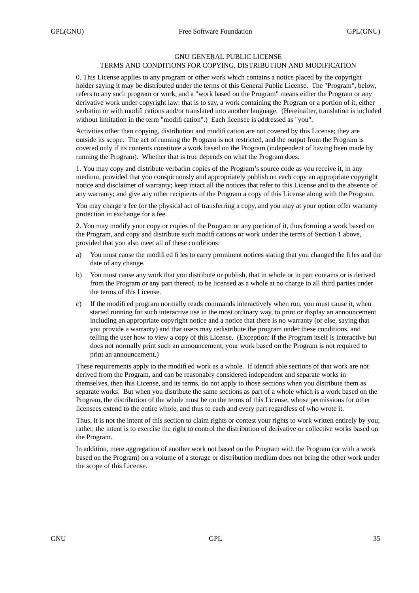# GNU GENERAL PUBLIC LICENSE

# TERMS AND CONDITIONS FOR COPYING, DISTRIBUTION AND MODIFICATION

0. This License applies to any program or other work which contains a notice placed by the copyright holder saying it may be distributed under the terms of this General Public License. The "Program", below, refers to any such program or work, and a "work based on the Program" means either the Program or any derivative work under copyright law: that is to say, a work containing the Program or a portion of it, either verbatim or with modifications and/or translated into another language. (Hereinafter, translation is included without limitation in the term "modification".) Each licensee is addressed as "you".

Activities other than copying, distribution and modification are not covered by this License; they are outside its scope. The act of running the Program is not restricted, and the output from the Program is covered only if its contents constitute a work based on the Program (independent of having been made by running the Program). Whether that is true depends on what the Program does.

1. You may copy and distribute verbatim copies of the Program's source code as you receive it, in any medium, provided that you conspicuously and appropriately publish on each copy an appropriate copyright notice and disclaimer of warranty; keep intact all the notices that refer to this License and to the absence of any warranty; and give any other recipients of the Program a copy of this License along with the Program.

You may charge a fee for the physical act of transferring a copy, and you may at your option offer warranty protection in exchange for a fee.

2. You may modify your copy or copies of the Program or any portion of it, thus forming a work based on the Program, and copy and distribute such modifications or work under the terms of Section 1 above, provided that you also meet all of these conditions:

- a) You must cause the modified files to carry prominent notices stating that you changed the files and the date of any change.
- b) You must cause any work that you distribute or publish, that in whole or in part contains or is derived from the Program or any part thereof, to be licensed as a whole at no charge to all third parties under the terms of this License.
- c) If the modified program normally reads commands interactively when run, you must cause it, when started running for such interactive use in the most ordinary way, to print or display an announcement including an appropriate copyright notice and a notice that there is no warranty (or else, saying that you provide a warranty) and that users may redistribute the program under these conditions, and telling the user how to viewacopy of this License. (Exception: if the Program itself is interactive but does not normally print such an announcement, your work based on the Program is not required to print an announcement.)

These requirements apply to the modified work as a whole. If identifiable sections of that work are not derived from the Program, and can be reasonably considered independent and separate works in themselves, then this License, and its terms, do not apply to those sections when you distribute them as separate works. But when you distribute the same sections as part of a whole which is a work based on the Program, the distribution of the whole must be on the terms of this License, whose permissions for other licensees extend to the entire whole, and thus to each and every part regardless of who wrote it.

Thus, it is not the intent of this section to claim rights or contest your rights to work written entirely by you; rather, the intent is to exercise the right to control the distribution of derivative or collective works based on the Program.

In addition, mere aggregation of another work not based on the Program with the Program (or with a work based on the Program) on a volume of a storage or distribution medium does not bring the other work under the scope of this License.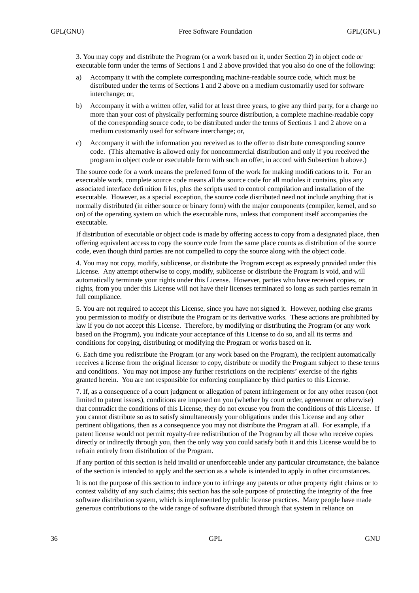3. You may copy and distribute the Program (or a work based on it, under Section 2) in object code or executable form under the terms of Sections 1 and 2 above provided that you also do one of the following:

- a) Accompany it with the complete corresponding machine-readable source code, which must be distributed under the terms of Sections 1 and 2 above on a medium customarily used for software interchange; or,
- b) Accompany it with a written offer, valid for at least three years, to give any third party, for a charge no more than your cost of physically performing source distribution, a complete machine-readable copy of the corresponding source code, to be distributed under the terms of Sections 1 and 2 above on a medium customarily used for software interchange; or,
- c) Accompany it with the information you received as to the offer to distribute corresponding source code. (This alternative is allowed only for noncommercial distribution and only if you received the program in object code or executable form with such an offer, in accord with Subsection b above.)

The source code for a work means the preferred form of the work for making modifications to it. For an executable work, complete source code means all the source code for all modules it contains, plus any associated interface definition files, plus the scripts used to control compilation and installation of the executable. However, as a special exception, the source code distributed need not include anything that is normally distributed (in either source or binary form) with the major components (compiler, kernel, and so on) of the operating system on which the executable runs, unless that component itself accompanies the executable.

If distribution of executable or object code is made by offering access to copy from a designated place, then offering equivalent access to copy the source code from the same place counts as distribution of the source code, even though third parties are not compelled to copy the source along with the object code.

4. You may not copy, modify, sublicense, or distribute the Program except as expressly provided under this License. Any attempt otherwise to copy, modify, sublicense or distribute the Program is void, and will automatically terminate your rights under this License. However, parties who have received copies, or rights, from you under this License will not have their licenses terminated so long as such parties remain in full compliance.

5. You are not required to accept this License, since you have not signed it. However, nothing else grants you permission to modify or distribute the Program or its derivative works. These actions are prohibited by law if you do not accept this License. Therefore, by modifying or distributing the Program (or any work based on the Program), you indicate your acceptance of this License to do so, and all its terms and conditions for copying, distributing or modifying the Program or works based on it.

6. Each time you redistribute the Program (or any work based on the Program), the recipient automatically receives a license from the original licensor to copy, distribute or modify the Program subject to these terms and conditions. You may not impose any further restrictions on the recipients' exercise of the rights granted herein. You are not responsible for enforcing compliance by third parties to this License.

7. If, as a consequence of a court judgment or allegation of patent infringement or for any other reason (not limited to patent issues), conditions are imposed on you (whether by court order, agreement or otherwise) that contradict the conditions of this License, they do not excuse you from the conditions of this License. If you cannot distribute so as to satisfy simultaneously your obligations under this License and any other pertinent obligations, then as a consequence you may not distribute the Program at all. For example, if a patent license would not permit royalty-free redistribution of the Program by all those who receive copies directly or indirectly through you, then the only way you could satisfy both it and this License would be to refrain entirely from distribution of the Program.

If any portion of this section is held invalid or unenforceable under any particular circumstance, the balance of the section is intended to apply and the section as a whole is intended to apply in other circumstances.

It is not the purpose of this section to induce you to infringe any patents or other property right claims or to contest validity of any such claims; this section has the sole purpose of protecting the integrity of the free software distribution system, which is implemented by public license practices. Many people have made generous contributions to the wide range of software distributed through that system in reliance on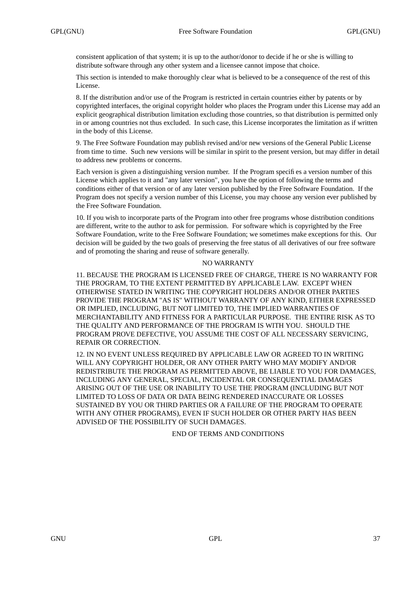consistent application of that system; it is up to the author/donor to decide if he or she is willing to distribute software through any other system and a licensee cannot impose that choice.

This section is intended to make thoroughly clear what is believed to be a consequence of the rest of this License.

8. If the distribution and/or use of the Program is restricted in certain countries either by patents or by copyrighted interfaces, the original copyright holder who places the Program under this License may add an explicit geographical distribution limitation excluding those countries, so that distribution is permitted only in or among countries not thus excluded. In such case, this License incorporates the limitation as if written in the body of this License.

9. The Free Software Foundation may publish revised and/or new versions of the General Public License from time to time. Such new versions will be similar in spirit to the present version, but may differ in detail to address new problems or concerns.

Each version is given a distinguishing version number. If the Program specifies a version number of this License which applies to it and "any later version", you have the option of following the terms and conditions either of that version or of any later version published by the Free Software Foundation. If the Program does not specify a version number of this License, you may choose any version ever published by the Free Software Foundation.

10. If you wish to incorporate parts of the Program into other free programs whose distribution conditions are different, write to the author to ask for permission. For software which is copyrighted by the Free Software Foundation, write to the Free Software Foundation; we sometimes make exceptions for this. Our decision will be guided by the two goals of preserving the free status of all derivatives of our free software and of promoting the sharing and reuse of software generally.

# NO WARRANTY

11. BECAUSE THE PROGRAM IS LICENSED FREE OF CHARGE, THERE IS NO WARRANTY FOR THE PROGRAM, TO THE EXTENT PERMITTED BY APPLICABLE LAW. EXCEPT WHEN OTHERWISE STATED IN WRITING THE COPYRIGHT HOLDERS AND/OR OTHER PARTIES PROVIDE THE PROGRAM "AS IS" WITHOUT WARRANTY OF ANY KIND, EITHER EXPRESSED OR IMPLIED, INCLUDING, BUT NOT LIMITED TO, THE IMPLIED WARRANTIES OF MERCHANTABILITY AND FITNESS FOR A PARTICULAR PURPOSE. THE ENTIRE RISK AS TO THE QUALITY AND PERFORMANCE OF THE PROGRAM IS WITH YOU. SHOULD THE PROGRAM PROVE DEFECTIVE, YOU ASSUME THE COST OF ALL NECESSARY SERVICING, REPAIR OR CORRECTION.

12. IN NO EVENT UNLESS REQUIRED BY APPLICABLE LAW OR AGREED TO IN WRITING WILL ANY COPYRIGHT HOLDER, OR ANY OTHER PARTY WHO MAY MODIFY AND/OR REDISTRIBUTE THE PROGRAM AS PERMITTED ABOVE, BE LIABLE TO YOU FOR DAMAGES, INCLUDING ANY GENERAL, SPECIAL, INCIDENTAL OR CONSEQUENTIAL DAMAGES ARISING OUT OF THE USE OR INABILITY TO USE THE PROGRAM (INCLUDING BUT NOT LIMITED TO LOSS OF DATA OR DATA BEING RENDERED INACCURATE OR LOSSES SUSTAINED BY YOU OR THIRD PARTIES OR A FAILURE OF THE PROGRAM TO OPERATE WITH ANY OTHER PROGRAMS), EVEN IF SUCH HOLDER OR OTHER PARTY HAS BEEN ADVISED OF THE POSSIBILITY OF SUCH DAMAGES.

END OF TERMS AND CONDITIONS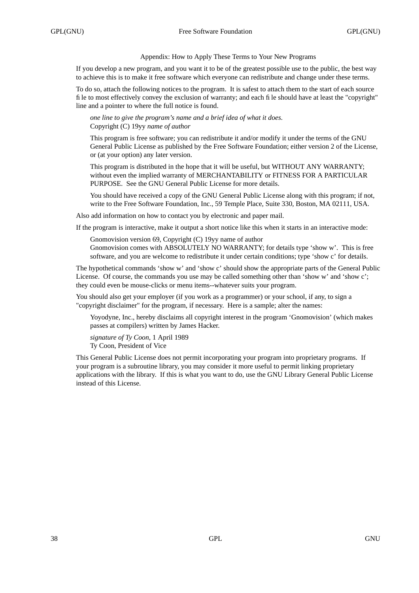# Appendix: How to Apply These Terms to Your New Programs

If you develop a new program, and you want it to be of the greatest possible use to the public, the best way to achieve this is to make it free software which everyone can redistribute and change under these terms.

To do so, attach the following notices to the program. It is safest to attach them to the start of each source file to most effectively convey the exclusion of warranty; and each file should have at least the "copyright" line and a pointer to where the full notice is found.

*one line to give the program's name and a brief idea of what it does.* Copyright (C) 19yy *name of author*

This program is free software; you can redistribute it and/or modify it under the terms of the GNU General Public License as published by the Free Software Foundation; either version 2 of the License, or (at your option) any later version.

This program is distributed in the hope that it will be useful, but WITHOUT ANY WARRANTY; without even the implied warranty of MERCHANTABILITY or FITNESS FOR A PARTICULAR PURPOSE. See the GNU General Public License for more details.

You should have received a copy of the GNU General Public License along with this program; if not, write to the Free Software Foundation, Inc., 59 Temple Place, Suite 330, Boston, MA 02111, USA.

Also add information on how to contact you by electronic and paper mail.

If the program is interactive, make it output a short notice like this when it starts in an interactive mode:

Gnomovision version 69, Copyright (C) 19yy name of author Gnomovision comes with ABSOLUTELY NO WARRANTY; for details type 'show w'. This is free software, and you are welcome to redistribute it under certain conditions; type 'show c' for details.

The hypothetical commands 'show w' and 'show c' should show the appropriate parts of the General Public License. Of course, the commands you use may be called something other than 'show w' and 'show c'; they could even be mouse-clicks or menu items--whatever suits your program.

You should also get your employer (if you work as a programmer) or your school, if any, to sign a "copyright disclaimer" for the program, if necessary. Here is a sample; alter the names:

Yo yodyne, Inc., hereby disclaims all copyright interest in the program 'Gnomovision' (which makes passes at compilers) written by James Hacker.

*signature of Ty Coon,* 1 April 1989 Ty Coon, President of Vice

This General Public License does not permit incorporating your program into proprietary programs. If your program is a subroutine library, you may consider it more useful to permit linking proprietary applications with the library. If this is what you want to do, use the GNU Library General Public License instead of this License.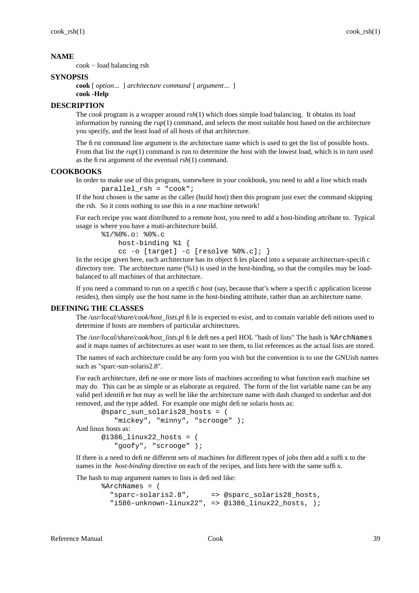cook − load balancing rsh

## **SYNOPSIS**

**cook** [ *option*... ] *architecture command* [ *argument*... ]

## **cook -Help**

# **DESCRIPTION**

The *cook* program is a wrapper around *rsh*(1) which does simple load balancing. It obtains its load information by running the  $rup(1)$  command, and selects the most suitable host hased on the architecture you specify, and the least load of all hosts of that architecture.

The first command line argument is the architecture name which is used to get the list of possible hosts. From that list the *rup*(1) command is run to determine the host with the lowest load, which is in turn used as the first argument of the eventual *rsh*(1) command.

#### **COOKBOOKS**

In order to make use of this program, somewhere in your cookbook, you need to add a line which reads parallel\_rsh = "cook";

If the host chosen is the same as the caller (build host) then this program just exec the command skipping the rsh. So it costs nothing to use this in a one machine network!

For each recipe you want distributed to a remote host, you need to add a host-binding attribute to. Typical usage is where you have a muti-architecture build.

```
%1/%0%.o: %0%.c
   host-binding %1 {
   cc -o [target] -c [resolve %0%.c]; }
```
In the recipe given here, each architecture has its object files placed into a separate architecture-specific directory tree. The architecture name (%1) is used in the host-binding, so that the compiles may be loadbalanced to all machines of that architecture.

If you need a command to run on a specific host (say, because that's where a specific application license resides), then simply use the host name in the host-binding attribute, rather than an architecture name.

# **DEFINING THE CLASSES**

The */usr/local/share/cook/host\_lists.pl* file is expected to exist, and to contain variable definitions used to determine if hosts are members of particular architectures.

The */usr/local/share/cook/host\_lists.pl* file defines a perl HOL "hash of lists" The hash is %ArchNames and it maps names of architectures as user want to see them, to list references as the actual lists are stored.

The names of each architecture could be any form you wish but the convention is to use the GNUish names such as "sparc-sun-solaris2.8".

For each architecture, define one or more lists of machines according to what function each machine set may do. This can be as simple or as elaborate as required. The form of the list variable name can be any valid perl identifier but may as well be like the architecture name with dash changed to underbar and dot removed, and the type added. For example one might define solaris hosts as:

```
@sparc_sun_solaris28_hosts = (
          "mickey", "minny", "scrooge" );
And linux hosts as:
      @i386 \lim_{x \to 2} hosts = (
          "goofy", "scrooge" );
```
If there is a need to define different sets of machines for different types of jobs then add a suffix to the names in the *host-binding* directive on each of the recipes, and lists here with the same suffix.

The hash to map argument names to lists is defined like:

```
%ArchNames = (
  "sparc-solaris2.8", => @sparc_solaris28_hosts,
  "i586-unknown-linux22", => @i386_linux22_hosts, );
```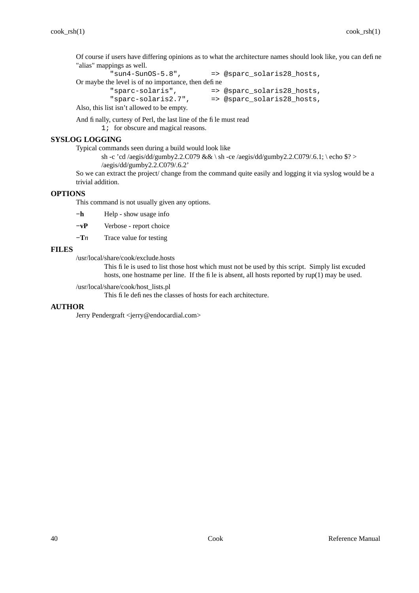Of course if users have differing opinions as to what the architecture names should look like, you can define "alias" mappings as well.<br>"sun4-Sun0S-5.8",

```
=> @sparc_solaris28_hosts,
Or maybe the level is of no importance, then define
         "sparc-solaris", => @sparc_solaris28_hosts,
                                  => @sparc_solaris28_hosts,
Also, this list isn't allowed to be empty.
```
And finally, curtesy of Perl, the last line of the file must read

1; for obscure and magical reasons.

# **SYSLOG LOGGING**

Typical commands seen during a build would look like

```
sh -c 'cd /aegis/dd/gumby2.2.C079 && \ sh -ce /aegis/dd/gumby2.2.C079/.6.1; \ echo $? >
/aegis/dd/gumby2.2.C079/.6.2'
```
So we can extract the project/ change from the command quite easily and logging it via syslog would be a trivial addition.

# **OPTIONS**

This command is not usually given any options.

- **−h** Help show usage info
- **−vP** Verbose report choice
- **−T***n* Trace value for testing

# **FILES**

/usr/local/share/cook/exclude.hosts

This file is used to list those host which must not be used by this script. Simply list excuded hosts, one hostname per line. If the file is absent, all hosts reported by  $rup(1)$  may be used.

/usr/local/share/cook/host\_lists.pl

This file defines the classes of hosts for each architecture.

# **AUTHOR**

Jerry Pendergraft <jerry@endocardial.com>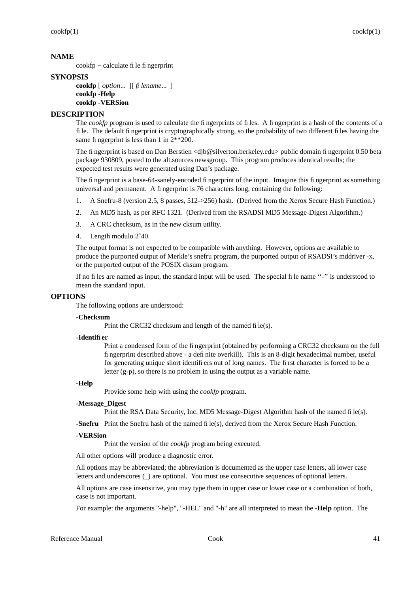cookfp − calculate file fingerprint

## **SYNOPSIS**

**cookfp** [ *option*... ][ *filename*... ] **cookfp -Help cookfp -VERSion**

# **DESCRIPTION**

The *cookfp* program is used to calculate the fingerprints of files. A fingerprint is a hash of the contents of a file. The default fingerprint is cryptographically strong, so the probability of two different files having the same fingerprint is less than 1 in  $2**200$ .

The fingerprint is based on Dan Berstien <djb@silverton.berkeley.edu> public domain fingerprint 0.50 beta package 930809, posted to the alt.sources newsgroup. This program produces identical results; the expected test results were generated using Dan's package.

The fingerprint is a base-64-sanely-encoded fingerprint of the input. Imagine this fingerprint as something universal and permanent. A fingerprint is 76 characters long, containing the following:

- 1. A Snefru-8 (version 2.5, 8 passes, 512->256) hash. (Derived from the Xerox Secure Hash Function.)
- 2. An MD5 hash, as per RFC 1321. (Derived from the RSADSI MD5 Message-Digest Algorithm.)
- 3. A CRC checksum, as in the new cksum utility.
- 4. Length modulo 2ˆ40.

The output format is not expected to be compatible with anything. However, options are available to produce the purported output of Merkle's snefru program, the purported output of RSADSI's mddriver -x, or the purported output of the POSIX cksum program.

If no files are named as input, the standard input will be used. The special file name ''-'' is understood to mean the standard input.

# **OPTIONS**

The following options are understood:

#### **-Checksum**

Print the CRC32 checksum and length of the named file(s).

#### **-Identifier**

Print a condensed form of the fingerprint (obtained by performing a CRC32 checksum on the full fingerprint described above - a definite overkill). This is an 8-digit hexadecimal number, useful for generating unique short identifiers out of long names. The first character is forced to be a letter (g-p), so there is no problem in using the output as a variable name.

#### **-Help**

Provide some help with using the *cookfp* program.

## **-Message\_Digest**

Print the RSA Data Security, Inc. MD5 Message-Digest Algorithm hash of the named file(s).

**-Snefru** Print the Snefru hash of the named file(s), derived from the Xerox Secure Hash Function.

## **-VERSion**

Print the version of the *cookfp* program being executed.

All other options will produce a diagnostic error.

All options may be abbreviated; the abbreviation is documented as the upper case letters, all lower case letters and underscores (\_) are optional. You must use consecutive sequences of optional letters.

All options are case insensitive, you may type them in upper case or lower case or a combination of both, case is not important.

For example: the arguments "-help", "-HEL" and "-h" are all interpreted to mean the **-Help** option. The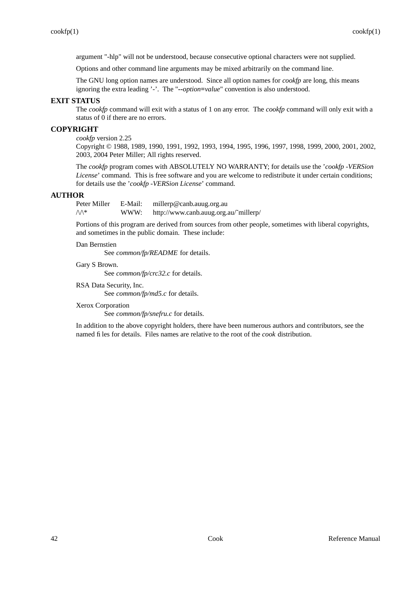argument "-hlp" will not be understood, because consecutive optional characters were not supplied.

Options and other command line arguments may be mixed arbitrarily on the command line.

The GNU long option names are understood. Since all option names for *cookfp* are long, this means ignoring the extra leading '-'. The "**--***option***=***value*" convention is also understood.

# **EXIT STATUS**

The *cookfp* command will exit with a status of 1 on any error. The *cookfp* command will only exit with a status of 0 if there are no errors.

# **COPYRIGHT**

*cookfp* version 2.25

Copyright © 1988, 1989, 1990, 1991, 1992, 1993, 1994, 1995, 1996, 1997, 1998, 1999, 2000, 2001, 2002, 2003, 2004 Peter Miller; All rights reserved.

The *cookfp* program comes with ABSOLUTELY NO WARRANTY; for details use the '*cookfp -VERSion License*' command. This is free software and you are welcome to redistribute it under certain conditions; for details use the '*cookfp -VERSion License*' command.

# **AUTHOR**

Peter Miller E-Mail: millerp@canb.auug.org.au  $\mathcal{W}^*$  WWW: http://www.canb.auug.org.au/~millerp/

Portions of this program are derived from sources from other people, sometimes with liberal copyrights, and sometimes in the public domain. These include:

#### Dan Bernstien

See *common/fp/README* for details.

# Gary S Brown.

See *common/fp/crc32.c* for details.

RSA Data Security, Inc.

See *common/fp/md5.c* for details.

Xerox Corporation

See *common/fp/snefru.c* for details.

In addition to the above copyright holders, there have been numerous authors and contributors, see the named files for details. Files names are relative to the root of the *cook* distribution.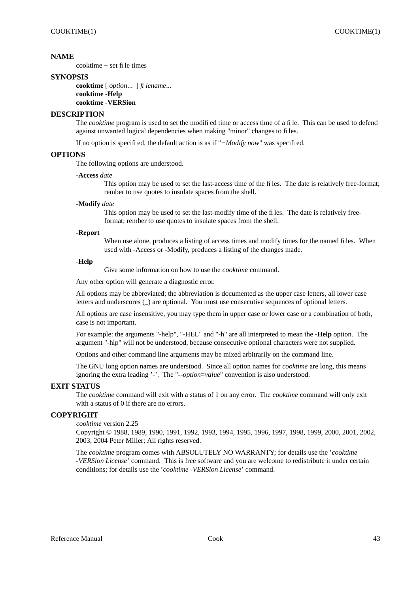cooktime − set file times

## **SYNOPSIS**

**cooktime** [ *option*... ] *filename*... **cooktime -Help cooktime -VERSion**

# **DESCRIPTION**

The *cooktime* program is used to set the modified time or access time of a file. This can be used to defend against unwanted logical dependencies when making "minor" changes to files.

If no option is specified, the default action is as if "*−Modify now*" was specified.

## **OPTIONS**

The following options are understood.

#### **-Access** *date*

This option may be used to set the last-access time of the files. The date is relatively free-format; rember to use quotes to insulate spaces from the shell.

#### **-Modify** *date*

This option may be used to set the last-modify time of the files. The date is relatively freeformat; rember to use quotes to insulate spaces from the shell.

#### **-Report**

When use alone, produces a listing of access times and modify times for the named files. When used with -Access or -Modify, produces a listing of the changes made.

#### **-Help**

Give some information on how to use the *cooktime* command.

Any other option will generate a diagnostic error.

All options may be abbreviated; the abbreviation is documented as the upper case letters, all lower case letters and underscores (\_) are optional. You must use consecutive sequences of optional letters.

All options are case insensitive, you may type them in upper case or lower case or a combination of both, case is not important.

For example: the arguments "-help", "-HEL" and "-h" are all interpreted to mean the **-Help** option. The argument "-hlp" will not be understood, because consecutive optional characters were not supplied.

Options and other command line arguments may be mixed arbitrarily on the command line.

The GNU long option names are understood. Since all option names for *cooktime* are long, this means ignoring the extra leading '-'. The "**--***option***=***value*" convention is also understood.

## **EXIT STATUS**

The *cooktime* command will exit with a status of 1 on any error. The *cooktime* command will only exit with a status of 0 if there are no errors.

# **COPYRIGHT**

*cooktime* version 2.25

Copyright © 1988, 1989, 1990, 1991, 1992, 1993, 1994, 1995, 1996, 1997, 1998, 1999, 2000, 2001, 2002, 2003, 2004 Peter Miller; All rights reserved.

The *cooktime* program comes with ABSOLUTELY NO WARRANTY; for details use the '*cooktime -VERSion License*' command. This is free software and you are welcome to redistribute it under certain conditions; for details use the '*cooktime -VERSion License*' command.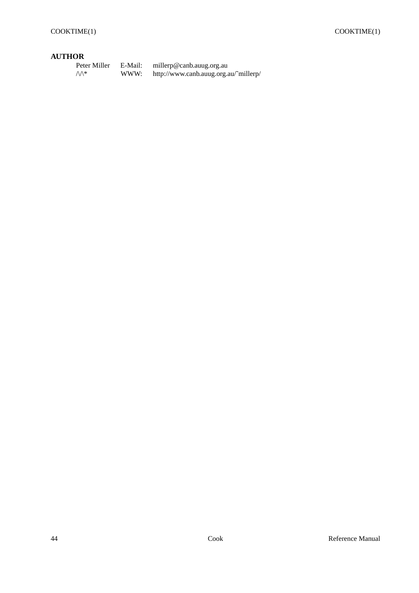# **AUTHOR**

| Peter Miller | E-Mail: | millerp@canb.auug.org.au              |
|--------------|---------|---------------------------------------|
| ∧∧*          | WWW:    | http://www.canb.auug.org.au/~millerp/ |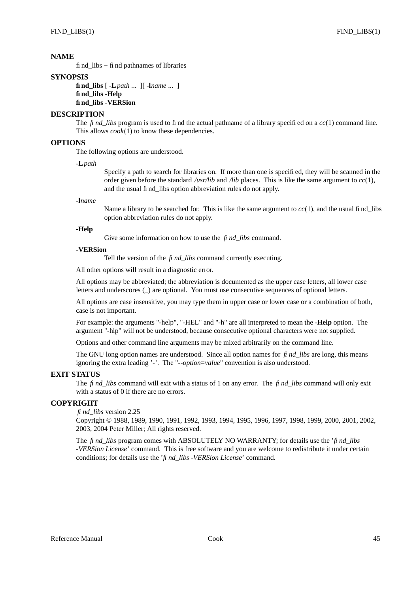find\_libs − find pathnames of libraries

## **SYNOPSIS**

**find\_libs** [ **-L***path* ... ][ **-l***name* ... ] **find\_libs -Help find\_libs -VERSion**

# **DESCRIPTION**

The *find* libs program is used to find the actual pathname of a library specified on a *cc*(1) command line. This allows *cook*(1) to know these dependencies.

# **OPTIONS**

The following options are understood.

**-L***path*

Specify a path to search for libraries on. If more than one is specified, they will be scanned in the order given before the standard */usr/lib* and */lib* places. This is like the same argument to  $cc(1)$ , and the usual find\_libs option abbreviation rules do not apply.

#### **-l***name*

Name a library to be searched for. This is like the same argument to  $cc(1)$ , and the usual find libs option abbreviation rules do not apply.

# **-Help**

Give some information on how to use the *find\_libs* command.

## **-VERSion**

Tell the version of the *find\_libs* command currently executing.

All other options will result in a diagnostic error.

All options may be abbreviated; the abbreviation is documented as the upper case letters, all lower case letters and underscores (\_) are optional. You must use consecutive sequences of optional letters.

All options are case insensitive, you may type them in upper case or lower case or a combination of both, case is not important.

For example: the arguments "-help", "-HEL" and "-h" are all interpreted to mean the **-Help** option. The argument "-hlp" will not be understood, because consecutive optional characters were not supplied.

Options and other command line arguments may be mixed arbitrarily on the command line.

The GNU long option names are understood. Since all option names for *find\_libs* are long, this means ignoring the extra leading '-'. The "**--***option***=***value*" convention is also understood.

## **EXIT STATUS**

The *find\_libs* command will exit with a status of 1 on any error. The *find\_libs* command will only exit with a status of 0 if there are no errors.

## **COPYRIGHT**

*find\_libs* version 2.25

Copyright © 1988, 1989, 1990, 1991, 1992, 1993, 1994, 1995, 1996, 1997, 1998, 1999, 2000, 2001, 2002, 2003, 2004 Peter Miller; All rights reserved.

The *find\_libs* program comes with ABSOLUTELY NO WARRANTY; for details use the '*find\_libs -VERSion License*' command. This is free software and you are welcome to redistribute it under certain conditions; for details use the '*find\_libs -VERSion License*' command.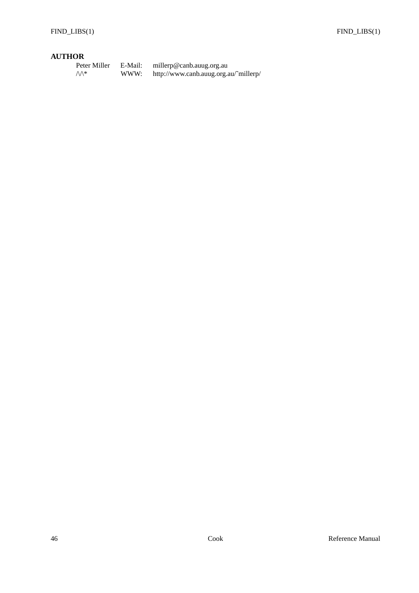# **AUTHOR**

| Peter Miller     | E-Mail: | millerp@canb.auug.org.au              |
|------------------|---------|---------------------------------------|
| $\wedge\wedge^*$ | WWW:    | http://www.canb.auug.org.au/~millerp/ |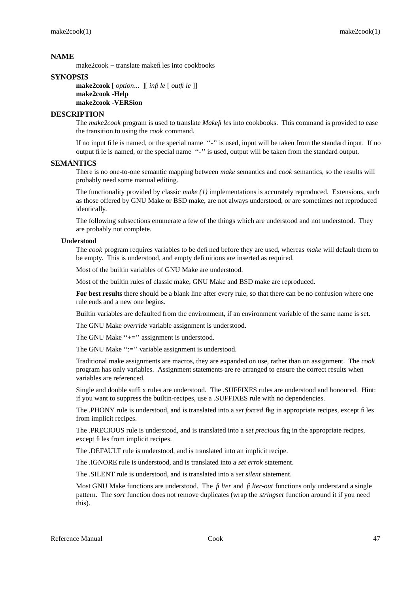make2cook − translate makefiles into cookbooks

## **SYNOPSIS**

**make2cook** [ *option*... ][ *infile* [ *outfile* ]] **make2cook -Help make2cook -VERSion**

# **DESCRIPTION**

The *make2cook* program is used to translate *Makefile*s into cookbooks. This command is provided to ease the transition to using the *cook* command.

If no input file is named, or the special name "-" is used, input will be taken from the standard input. If no output file is named, or the special name ''-'' is used, output will be taken from the standard output.

# **SEMANTICS**

There is no one-to-one semantic mapping between *make* semantics and *cook* semantics, so the results will probably need some manual editing.

The functionality provided by classic *make (1)* implementations is accurately reproduced. Extensions, such as those offered by GNU Make or BSD make, are not always understood, or are sometimes not reproduced identically.

The following subsections enumerate a few of the things which are understood and not understood. They are probably not complete.

#### **Understood**

The *cook* program requires variables to be defined before they are used, whereas *make* will default them to be empty. This is understood, and empty definitions are inserted as required.

Most of the builtin variables of GNU Make are understood.

Most of the builtin rules of classic make, GNU Make and BSD make are reproduced.

**For best results** there should be a blank line after every rule, so that there can be no confusion where one rule ends and a new one begins.

Builtin variables are defaulted from the environment, if an environment variable of the same name is set.

The GNU Make *override* variable assignment is understood.

The GNU Make "+=" assignment is understood.

The GNU Make ":=" variable assignment is understood.

Traditional make assignments are macros, they are expanded on use, rather than on assignment. The *cook* program has only variables. Assignment statements are re-arranged to ensure the correct results when variables are referenced.

Single and double suffix rules are understood. The .SUFFIXES rules are understood and honoured. Hint: if you want to suppress the builtin-recipes, use a .SUFFIXES rule with no dependencies.

The .PHONY rule is understood, and is translated into a *set forced* flag in appropriate recipes, except files from implicit recipes.

The .PRECIOUS rule is understood, and is translated into a *set precious* flag in the appropriate recipes, except files from implicit recipes.

The .DEFAULT rule is understood, and is translated into an implicit recipe.

The .IGNORE rule is understood, and is translated into a *set errok* statement.

The .SILENT rule is understood, and is translated into a *set silent* statement.

Most GNU Make functions are understood. The *filter* and *filter-out* functions only understand a single pattern. The *sort* function does not remove duplicates (wrap the *stringset* function around it if you need this).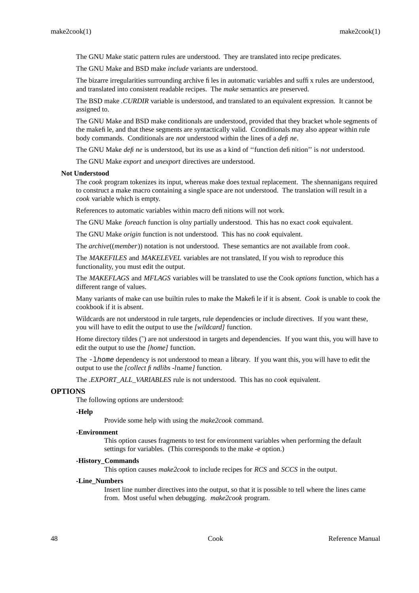The GNU Make static pattern rules are understood. They are translated into recipe predicates.

The GNU Make and BSD make *include* variants are understood.

The bizarre irregularities surrounding archive files in automatic variables and suffix rules are understood, and translated into consistent readable recipes. The *make* semantics are preserved.

The BSD make *.CURDIR* variable is understood, and translated to an equivalent expression. It cannot be assigned to.

The GNU Make and BSD make conditionals are understood, provided that they bracket whole segments of the makefile, and that these segments are syntactically valid. Cconditionals may also appear within rule body commands. Conditionals are *not* understood within the lines of a *define*.

The GNU Make *define* is understood, but its use as a kind of ''function definition'' is *not* understood.

The GNU Make *export* and *unexport* directives are understood.

#### **Not Understood**

The *cook* program tokenizes its input, whereas make does textual replacement. The shennanigans required to construct a make macro containing a single space are not understood. The translation will result in a *cook* variable which is empty.

References to automatic variables within macro definitions will not work.

The GNU Make *foreach* function is olny partially understood. This has no exact *cook* equivalent.

The GNU Make *origin* function is not understood. This has no *cook* equivalent.

The *archive*((*member*)) notation is not understood. These semantics are not available from *cook*.

The *MAKEFILES* and *MAKELEVEL* variables are not translated, If you wish to reproduce this functionality, you must edit the output.

The *MAKEFLAGS* and *MFLAGS* variables will be translated to use the Cook *options* function, which has a different range of values.

Many variants of make can use builtin rules to make the Makefile if it is absent. *Cook* is unable to cook the cookbook if it is absent.

Wildcards are not understood in rule targets, rule dependencies or include directives. If you want these, you will have to edit the output to use the *[wildcard]* function.

Home directory tildes ( $\tilde{ }$ ) are not understood in targets and dependencies. If you want this, you will have to edit the output to use the *[home]* function.

The -lhome dependency is not understood to mean a library. If you want this, you will have to edit the output to use the *[collect findlibs -l*name*]* function.

The *.EXPORT\_ALL\_VARIABLES* rule is not understood. This has no *cook* equivalent.

### **OPTIONS**

The following options are understood:

#### **-Help**

Provide some help with using the *make2cook* command.

#### **-Environment**

This option causes fragments to test for environment variables when performing the default settings for variables. (This corresponds to the make -e option.)

#### **-History\_Commands**

This option causes *make2cook* to include recipes for *RCS* and *SCCS* in the output.

## **-Line\_Numbers**

Insert line number directives into the output, so that it is possible to tell where the lines came from. Most useful when debugging. *make2cook* program.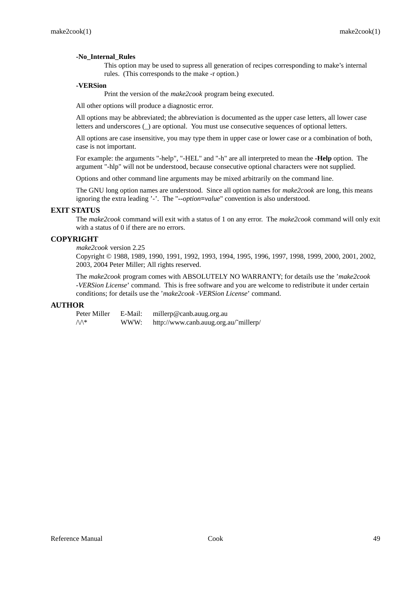# **-No\_Internal\_Rules**

This option may be used to supress all generation of recipes corresponding to make's internal rules. (This corresponds to the make -r option.)

# **-VERSion**

Print the version of the *make2cook* program being executed.

All other options will produce a diagnostic error.

All options may be abbreviated; the abbreviation is documented as the upper case letters, all lower case letters and underscores (\_) are optional. You must use consecutive sequences of optional letters.

All options are case insensitive, you may type them in upper case or lower case or a combination of both, case is not important.

For example: the arguments "-help", "-HEL" and "-h" are all interpreted to mean the **-Help** option. The argument "-hlp" will not be understood, because consecutive optional characters were not supplied.

Options and other command line arguments may be mixed arbitrarily on the command line.

The GNU long option names are understood. Since all option names for *make2cook* are long, this means ignoring the extra leading '-'. The "**--***option***=***value*" convention is also understood.

# **EXIT STATUS**

The *make2cook* command will exit with a status of 1 on any error. The *make2cook* command will only exit with a status of 0 if there are no errors.

# **COPYRIGHT**

# *make2cook* version 2.25

Copyright © 1988, 1989, 1990, 1991, 1992, 1993, 1994, 1995, 1996, 1997, 1998, 1999, 2000, 2001, 2002, 2003, 2004 Peter Miller; All rights reserved.

The *make2cook* program comes with ABSOLUTELY NO WARRANTY; for details use the '*make2cook -VERSion License*' command. This is free software and you are welcome to redistribute it under certain conditions; for details use the '*make2cook -VERSion License*' command.

# **AUTHOR**

| Peter Miller     | E-Mail: | millerp@canb.auug.org.au              |
|------------------|---------|---------------------------------------|
| $\wedge\wedge^*$ | WWW:    | http://www.canb.auug.org.au/~millerp/ |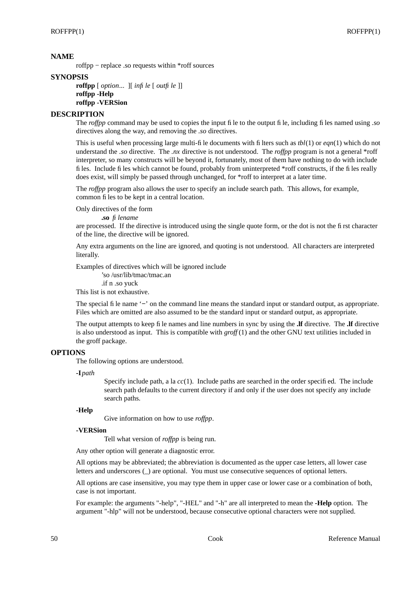roffpp − replace .so requests within \*roff sources

## **SYNOPSIS**

**roffpp** [ *option*... ][ *infile* [ *outfile* ]] **roffpp -Help roffpp -VERSion**

# **DESCRIPTION**

The *roffpp* command may be used to copies the input file to the output file, including files named using *.so* directives along the way, and removing the *.so* directives.

This is useful when processing large multi-file documents with filters such as *tbl*(1) or *eqn*(1) which do not understand the *.so* directive. The *.nx* directive is not understood. The *roffpp* program is not a general \*roff interpreter, so many constructs will be beyond it, fortunately, most of them have nothing to do with include files. Include files which cannot be found, probably from uninterpreted \*roff constructs, if the files really does exist, will simply be passed through unchanged, for \*roff to interpret at a later time.

The *roffpp* program also allows the user to specify an include search path. This allows, for example, common files to be kept in a central location.

Only directives of the form

**.so** *filename*

are processed. If the directive is introduced using the single quote form, or the dot is not the first character of the line, the directive will be ignored.

Any extra arguments on the line are ignored, and quoting is not understood. All characters are interpreted literally.

Examples of directives which will be ignored include

'so /usr/lib/tmac/tmac.an

.if n .so yuck

This list is not exhaustive.

The special file name '**−**' on the command line means the standard input or standard output, as appropriate. Files which are omitted are also assumed to be the standard input or standard output, as appropriate.

The output attempts to keep file names and line numbers in sync by using the **.lf** directive. The **.lf** directive is also understood as input. This is compatible with *groff* (1) and the other GNU text utilities included in the groff package.

## **OPTIONS**

The following options are understood.

**-I** *path*

Specify include path, a la *cc*(1). Include paths are searched in the order specified. The include search path defaults to the current directory if and only if the user does not specify any include search paths.

## **-Help**

Give information on how to use *roffpp*.

## **-VERSion**

Tell what version of *roffpp* is being run.

Any other option will generate a diagnostic error.

All options may be abbreviated; the abbreviation is documented as the upper case letters, all lower case letters and underscores (\_) are optional. You must use consecutive sequences of optional letters.

All options are case insensitive, you may type them in upper case or lower case or a combination of both, case is not important.

For example: the arguments "-help", "-HEL" and "-h" are all interpreted to mean the **-Help** option. The argument "-hlp" will not be understood, because consecutive optional characters were not supplied.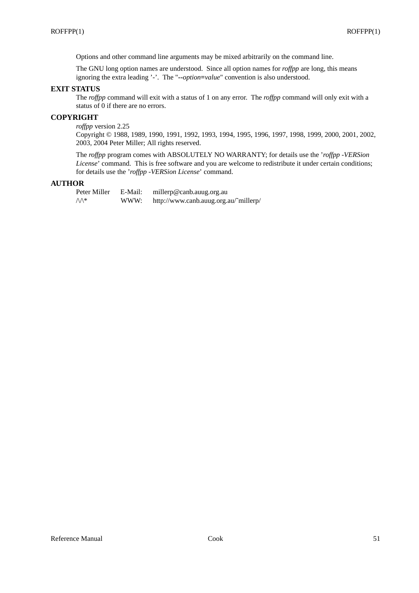Options and other command line arguments may be mixed arbitrarily on the command line.

The GNU long option names are understood. Since all option names for *roffpp* are long, this means ignoring the extra leading '-'. The "**--***option***=***value*" convention is also understood.

# **EXIT STATUS**

The *roffpp* command will exit with a status of 1 on any error. The *roffpp* command will only exit with a status of 0 if there are no errors.

# **COPYRIGHT**

*roffpp* version 2.25

Copyright © 1988, 1989, 1990, 1991, 1992, 1993, 1994, 1995, 1996, 1997, 1998, 1999, 2000, 2001, 2002, 2003, 2004 Peter Miller; All rights reserved.

The *roffpp* program comes with ABSOLUTELY NO WARRANTY; for details use the '*roffpp -VERSion License*' command. This is free software and you are welcome to redistribute it under certain conditions; for details use the '*roffpp -VERSion License*' command.

## **AUTHOR**

Peter Miller E-Mail: millerp@canb.auug.org.au  $\mathcal{W}^*$  WWW: http://www.canb.auug.org.au/~millerp/